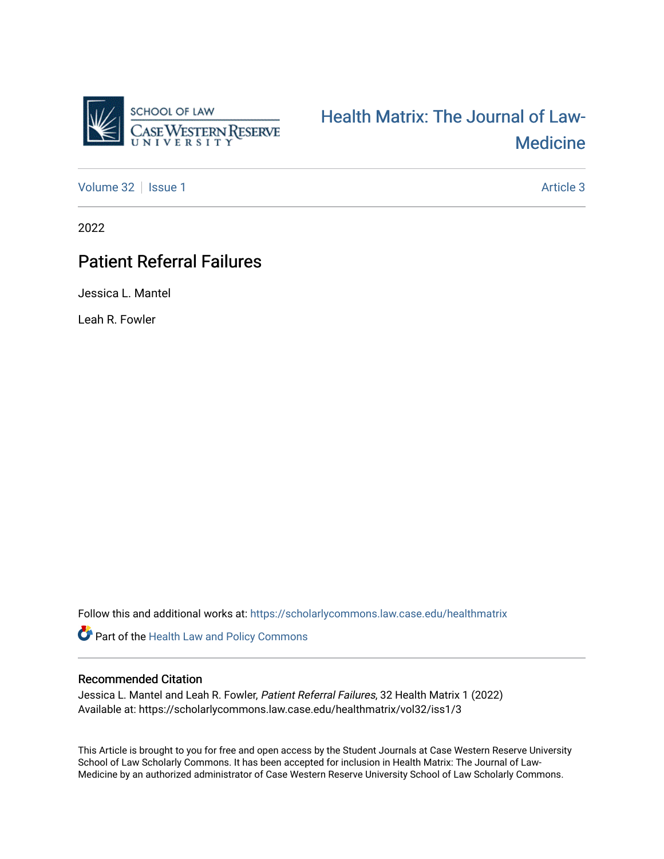

# [Health Matrix: The Journal of Law-](https://scholarlycommons.law.case.edu/healthmatrix)**Medicine**

[Volume 32](https://scholarlycommons.law.case.edu/healthmatrix/vol32) | [Issue 1](https://scholarlycommons.law.case.edu/healthmatrix/vol32/iss1) Article 3

2022

# **Patient Referral Failures**

Jessica L. Mantel

Leah R. Fowler

Follow this and additional works at: [https://scholarlycommons.law.case.edu/healthmatrix](https://scholarlycommons.law.case.edu/healthmatrix?utm_source=scholarlycommons.law.case.edu%2Fhealthmatrix%2Fvol32%2Fiss1%2F3&utm_medium=PDF&utm_campaign=PDFCoverPages) 

Part of the [Health Law and Policy Commons](http://network.bepress.com/hgg/discipline/901?utm_source=scholarlycommons.law.case.edu%2Fhealthmatrix%2Fvol32%2Fiss1%2F3&utm_medium=PDF&utm_campaign=PDFCoverPages) 

## Recommended Citation

Jessica L. Mantel and Leah R. Fowler, Patient Referral Failures, 32 Health Matrix 1 (2022) Available at: https://scholarlycommons.law.case.edu/healthmatrix/vol32/iss1/3

This Article is brought to you for free and open access by the Student Journals at Case Western Reserve University School of Law Scholarly Commons. It has been accepted for inclusion in Health Matrix: The Journal of Law-Medicine by an authorized administrator of Case Western Reserve University School of Law Scholarly Commons.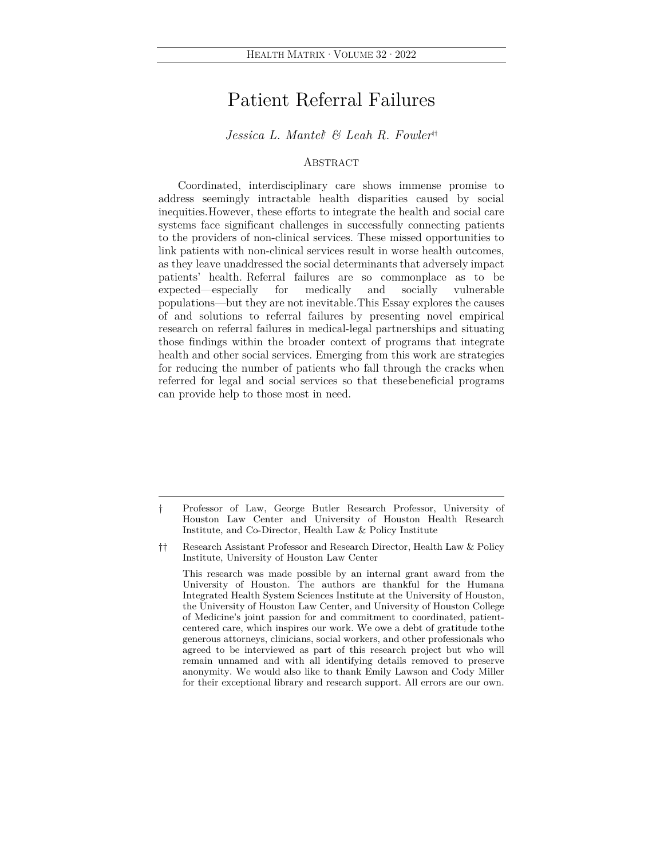## Patient Referral Failures

*Jessica L. Mantel*†  *& Leah R. Fowler*††

### ABSTRACT

Coordinated, interdisciplinary care shows immense promise to address seemingly intractable health disparities caused by social inequities. However, these efforts to integrate the health and social care systems face significant challenges in successfully connecting patients to the providers of non-clinical services. These missed opportunities to link patients with non-clinical services result in worse health outcomes, as they leave unaddressed the social determinants that adversely impact patients' health. Referral failures are so commonplace as to be expected—especially for medically and socially vulnerable populations—but they are not inevitable. This Essay explores the causes of and solutions to referral failures by presenting novel empirical research on referral failures in medical-legal partnerships and situating those findings within the broader context of programs that integrate health and other social services. Emerging from this work are strategies for reducing the number of patients who fall through the cracks when referred for legal and social services so that these beneficial programs can provide help to those most in need.

 This research was made possible by an internal grant award from the University of Houston. The authors are thankful for the Humana Integrated Health System Sciences Institute at the University of Houston, the University of Houston Law Center, and University of Houston College of Medicine's joint passion for and commitment to coordinated, patientcentered care, which inspires our work. We owe a debt of gratitude to the generous attorneys, clinicians, social workers, and other professionals who agreed to be interviewed as part of this research project but who will remain unnamed and with all identifying details removed to preserve anonymity. We would also like to thank Emily Lawson and Cody Miller for their exceptional library and research support. All errors are our own.

<sup>†</sup> Professor of Law, George Butler Research Professor, University of Houston Law Center and University of Houston Health Research Institute, and Co-Director, Health Law & Policy Institute

<sup>††</sup> Research Assistant Professor and Research Director, Health Law & Policy Institute, University of Houston Law Center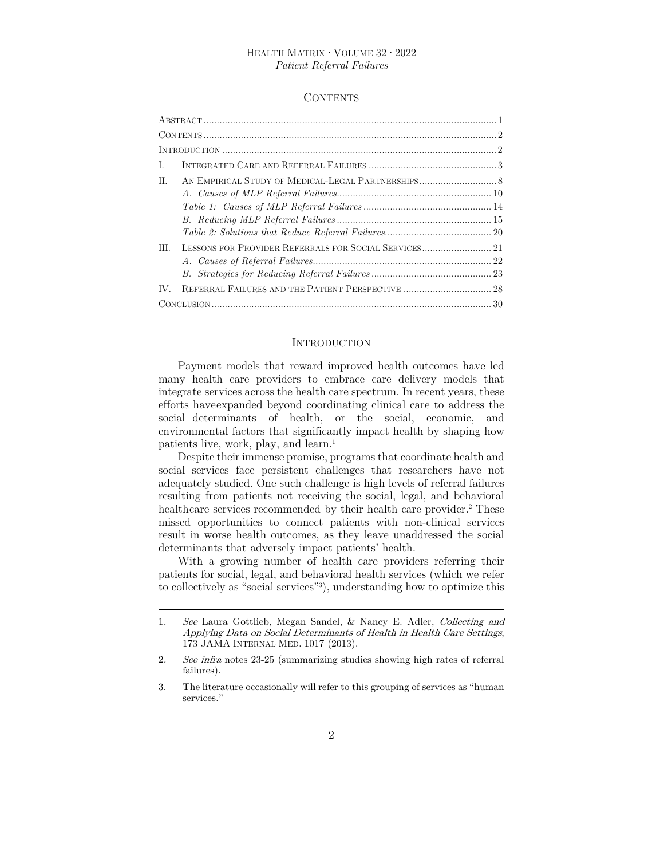#### **CONTENTS**

| L.  |                                                                                                                                                                                                                                                                                                                                                                                                                                                                                                             |  |
|-----|-------------------------------------------------------------------------------------------------------------------------------------------------------------------------------------------------------------------------------------------------------------------------------------------------------------------------------------------------------------------------------------------------------------------------------------------------------------------------------------------------------------|--|
| II. |                                                                                                                                                                                                                                                                                                                                                                                                                                                                                                             |  |
|     |                                                                                                                                                                                                                                                                                                                                                                                                                                                                                                             |  |
|     | $Table~1: \textit{ Causes of MLP Referral Failure} s. \label{table1} \textit{Table 1:} \textit{ Causes of MLP Referral Failure} s. \textit{Solutions} \textit{Cross} \textit{Cross} \textit{Cross} \textit{Cross} \textit{Cross} \textit{Cross} \textit{Cross} \textit{Cross} \textit{Cross} \textit{Coss} \textit{Coss} \textit{Coss} \textit{Coss} \textit{Coss} \textit{Coss} \textit{Coss} \textit{Coss} \textit{Coss} \textit{Coss} \textit{Coss} \textit{Coss} \textit{Coss} \textit{Coss} \textit{C$ |  |
|     |                                                                                                                                                                                                                                                                                                                                                                                                                                                                                                             |  |
|     |                                                                                                                                                                                                                                                                                                                                                                                                                                                                                                             |  |
| HL. | LESSONS FOR PROVIDER REFERRALS FOR SOCIAL SERVICES 21                                                                                                                                                                                                                                                                                                                                                                                                                                                       |  |
|     |                                                                                                                                                                                                                                                                                                                                                                                                                                                                                                             |  |
|     |                                                                                                                                                                                                                                                                                                                                                                                                                                                                                                             |  |
| IV. | REFERRAL FAILURES AND THE PATIENT PERSPECTIVE  28                                                                                                                                                                                                                                                                                                                                                                                                                                                           |  |
|     |                                                                                                                                                                                                                                                                                                                                                                                                                                                                                                             |  |

#### INTRODUCTION

Payment models that reward improved health outcomes have led many health care providers to embrace care delivery models that integrate services across the health care spectrum. In recent years, these efforts have expanded beyond coordinating clinical care to address the social determinants of health, or the social, economic, and environmental factors that significantly impact health by shaping how patients live, work, play, and learn.<sup>1</sup>

Despite their immense promise, programs that coordinate health and social services face persistent challenges that researchers have not adequately studied. One such challenge is high levels of referral failures resulting from patients not receiving the social, legal, and behavioral health care services recommended by their health care provider.<sup>2</sup> These missed opportunities to connect patients with non-clinical services result in worse health outcomes, as they leave unaddressed the social determinants that adversely impact patients' health.

With a growing number of health care providers referring their patients for social, legal, and behavioral health services (which we refer to collectively as "social services"3 ), understanding how to optimize this

<sup>1</sup>. See Laura Gottlieb, Megan Sandel, & Nancy E. Adler, Collecting and Applying Data on Social Determinants of Health in Health Care Settings, 173 JAMA INTERNAL MED. 1017 (2013).

<sup>2</sup>. See infra notes 23-25 (summarizing studies showing high rates of referral failures).

<sup>3.</sup> The literature occasionally will refer to this grouping of services as "human services."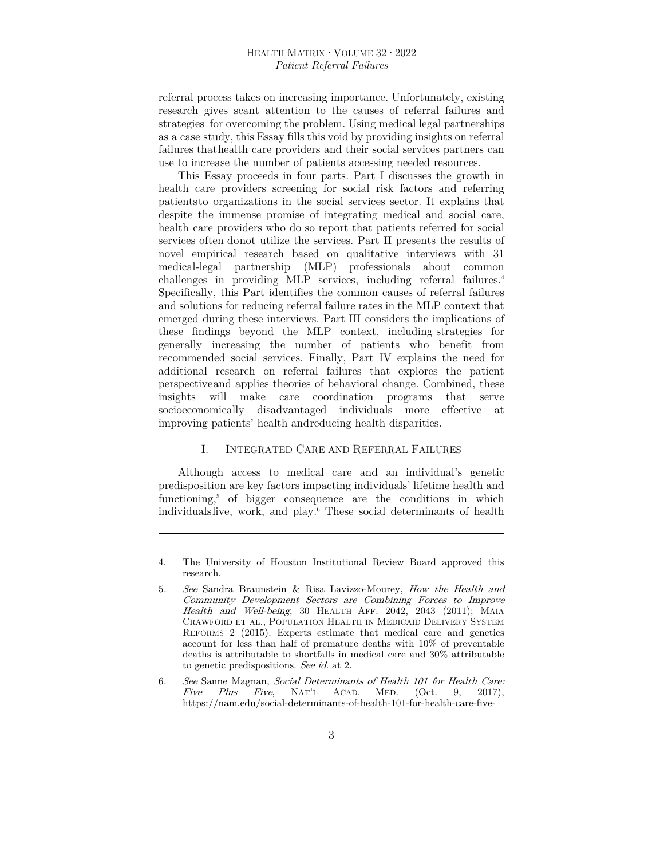referral process takes on increasing importance. Unfortunately, existing research gives scant attention to the causes of referral failures and strategies for overcoming the problem. Using medical legal partnerships as a case study, this Essay fills this void by providing insights on referral failures that health care providers and their social services partners can use to increase the number of patients accessing needed resources.

This Essay proceeds in four parts. Part I discusses the growth in health care providers screening for social risk factors and referring patients to organizations in the social services sector. It explains that despite the immense promise of integrating medical and social care, health care providers who do so report that patients referred for social services often do not utilize the services. Part II presents the results of novel empirical research based on qualitative interviews with 31 medical-legal partnership (MLP) professionals about common challenges in providing MLP services, including referral failures.4 Specifically, this Part identifies the common causes of referral failures and solutions for reducing referral failure rates in the MLP context that emerged during these interviews. Part III considers the implications of these findings beyond the MLP context, including strategies for generally increasing the number of patients who benefit from recommended social services. Finally, Part IV explains the need for additional research on referral failures that explores the patient perspective and applies theories of behavioral change. Combined, these insights will make care coordination programs that serve socioeconomically disadvantaged individuals more effective at improving patients' health and reducing health disparities.

#### I. INTEGRATED CARE AND REFERRAL FAILURES

Although access to medical care and an individual's genetic predisposition are key factors impacting individuals' lifetime health and functioning,<sup>5</sup> of bigger consequence are the conditions in which individuals live, work, and play.6 These social determinants of health

<sup>4.</sup> The University of Houston Institutional Review Board approved this research.

<sup>5</sup>. See Sandra Braunstein & Risa Lavizzo-Mourey, How the Health and Community Development Sectors are Combining Forces to Improve Health and Well-being, 30 HEALTH AFF. 2042, 2043 (2011); MAIA CRAWFORD ET AL., POPULATION HEALTH IN MEDICAID DELIVERY SYSTEM REFORMS 2 (2015). Experts estimate that medical care and genetics account for less than half of premature deaths with 10% of preventable deaths is attributable to shortfalls in medical care and 30% attributable to genetic predispositions. See id. at 2.

<sup>6</sup>. See Sanne Magnan, Social Determinants of Health 101 for Health Care: Five Plus Five, NAT'L ACAD. MED. (Oct. 9, 2017), https://nam.edu/social-determinants-of-health-101-for-health-care-five-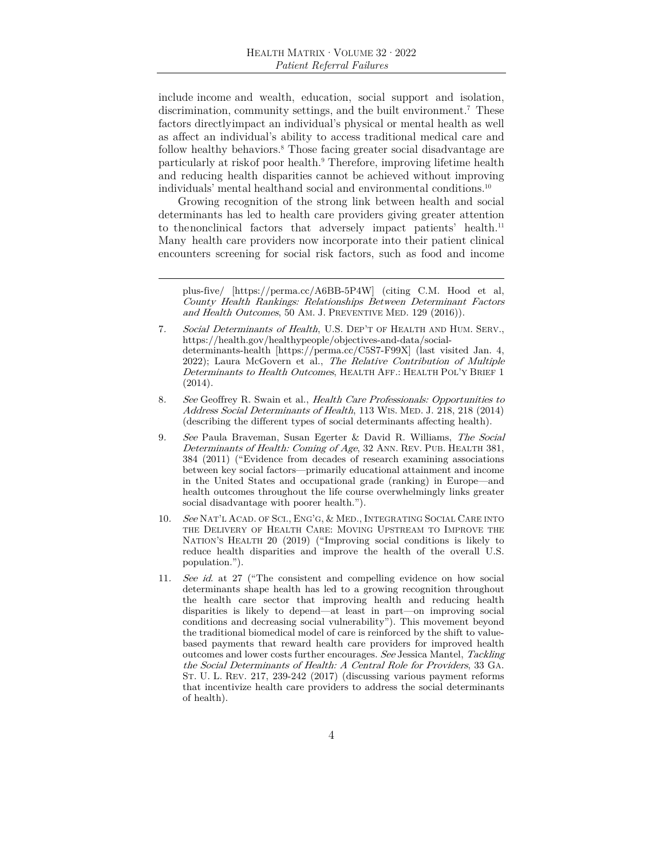include income and wealth, education, social support and isolation, discrimination, community settings, and the built environment.<sup>7</sup> These factors directly impact an individual's physical or mental health as well as affect an individual's ability to access traditional medical care and follow healthy behaviors.<sup>8</sup> Those facing greater social disadvantage are particularly at risk of poor health.<sup>9</sup> Therefore, improving lifetime health and reducing health disparities cannot be achieved without improving individuals' mental health and social and environmental conditions.<sup>10</sup>

Growing recognition of the strong link between health and social determinants has led to health care providers giving greater attention to the nonclinical factors that adversely impact patients' health.<sup>11</sup> Many health care providers now incorporate into their patient clinical encounters screening for social risk factors, such as food and income

plus-five/ [https://perma.cc/A6BB-5P4W] (citing C.M. Hood et al, County Health Rankings: Relationships Between Determinant Factors and Health Outcomes, 50 AM. J. PREVENTIVE MED. 129 (2016)).

- 7. Social Determinants of Health, U.S. DEP'T OF HEALTH AND HUM. SERV., https://health.gov/healthypeople/objectives-and-data/socialdeterminants-health [https://perma.cc/C5S7-F99X] (last visited Jan. 4, 2022); Laura McGovern et al., The Relative Contribution of Multiple Determinants to Health Outcomes, HEALTH AFF.: HEALTH POL'Y BRIEF 1 (2014).
- 8. See Geoffrey R. Swain et al., Health Care Professionals: Opportunities to Address Social Determinants of Health, 113 WIS. MED. J. 218, 218 (2014) (describing the different types of social determinants affecting health).
- 9. See Paula Braveman, Susan Egerter & David R. Williams, The Social Determinants of Health: Coming of Age, 32 ANN. REV. PUB. HEALTH 381, 384 (2011) ("Evidence from decades of research examining associations between key social factors—primarily educational attainment and income in the United States and occupational grade (ranking) in Europe—and health outcomes throughout the life course overwhelmingly links greater social disadvantage with poorer health.").
- 10. See NAT'L ACAD. OF SCI., ENG'G, & MED., INTEGRATING SOCIAL CARE INTO THE DELIVERY OF HEALTH CARE: MOVING UPSTREAM TO IMPROVE THE NATION'S HEALTH 20 (2019) ("Improving social conditions is likely to reduce health disparities and improve the health of the overall U.S. population.").
- 11. See id. at 27 ("The consistent and compelling evidence on how social determinants shape health has led to a growing recognition throughout the health care sector that improving health and reducing health disparities is likely to depend—at least in part—on improving social conditions and decreasing social vulnerability"). This movement beyond the traditional biomedical model of care is reinforced by the shift to valuebased payments that reward health care providers for improved health outcomes and lower costs further encourages. See Jessica Mantel, Tackling the Social Determinants of Health: A Central Role for Providers, 33 GA. ST. U. L. REV. 217, 239-242 (2017) (discussing various payment reforms that incentivize health care providers to address the social determinants of health).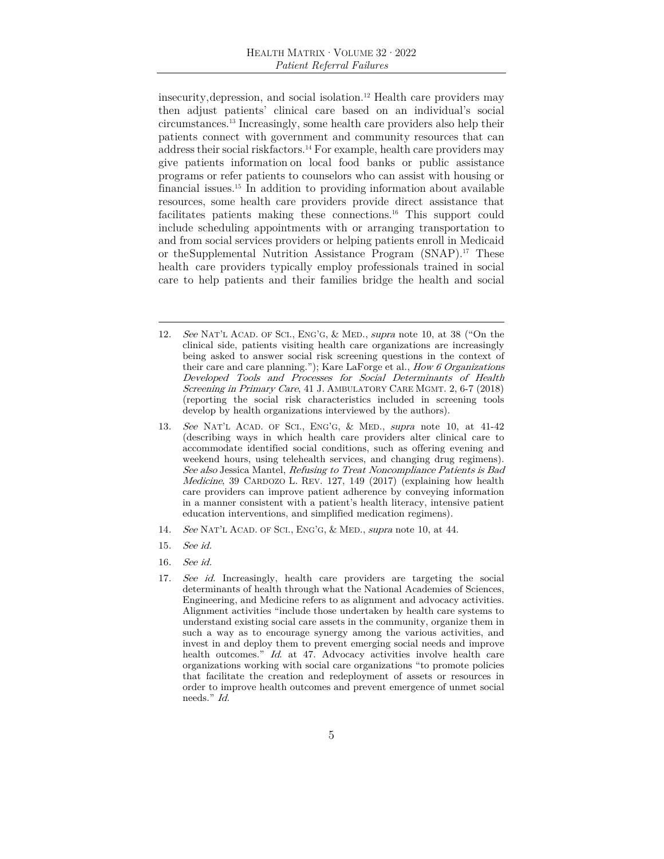insecurity, depression, and social isolation.12 Health care providers may then adjust patients' clinical care based on an individual's social circumstances.13 Increasingly, some health care providers also help their patients connect with government and community resources that can address their social risk factors.<sup>14</sup> For example, health care providers may give patients information on local food banks or public assistance programs or refer patients to counselors who can assist with housing or financial issues.15 In addition to providing information about available resources, some health care providers provide direct assistance that facilitates patients making these connections.16 This support could include scheduling appointments with or arranging transportation to and from social services providers or helping patients enroll in Medicaid or the Supplemental Nutrition Assistance Program (SNAP).17 These health care providers typically employ professionals trained in social care to help patients and their families bridge the health and social

- 12. See NAT'L ACAD. OF SCI., ENG'G, & MED., supra note 10, at 38 ("On the clinical side, patients visiting health care organizations are increasingly being asked to answer social risk screening questions in the context of their care and care planning."); Kare LaForge et al., How 6 Organizations Developed Tools and Processes for Social Determinants of Health Screening in Primary Care, 41 J. AMBULATORY CARE MGMT. 2, 6-7 (2018) (reporting the social risk characteristics included in screening tools develop by health organizations interviewed by the authors).
- 13. See NAT'L ACAD. OF SCI., ENG'G, & MED., supra note 10, at  $41-42$ (describing ways in which health care providers alter clinical care to accommodate identified social conditions, such as offering evening and weekend hours, using telehealth services, and changing drug regimens). See also Jessica Mantel, Refusing to Treat Noncompliance Patients is Bad Medicine, 39 CARDOZO L. REV. 127, 149 (2017) (explaining how health care providers can improve patient adherence by conveying information in a manner consistent with a patient's health literacy, intensive patient education interventions, and simplified medication regimens).
- 14. See NAT'L ACAD. OF SCI., ENG'G, & MED., supra note 10, at 44.
- 15. See id.
- 16. See id.
- 17. See id. Increasingly, health care providers are targeting the social determinants of health through what the National Academies of Sciences, Engineering, and Medicine refers to as alignment and advocacy activities. Alignment activities "include those undertaken by health care systems to understand existing social care assets in the community, organize them in such a way as to encourage synergy among the various activities, and invest in and deploy them to prevent emerging social needs and improve health outcomes." Id. at 47. Advocacy activities involve health care organizations working with social care organizations "to promote policies that facilitate the creation and redeployment of assets or resources in order to improve health outcomes and prevent emergence of unmet social needs." Id.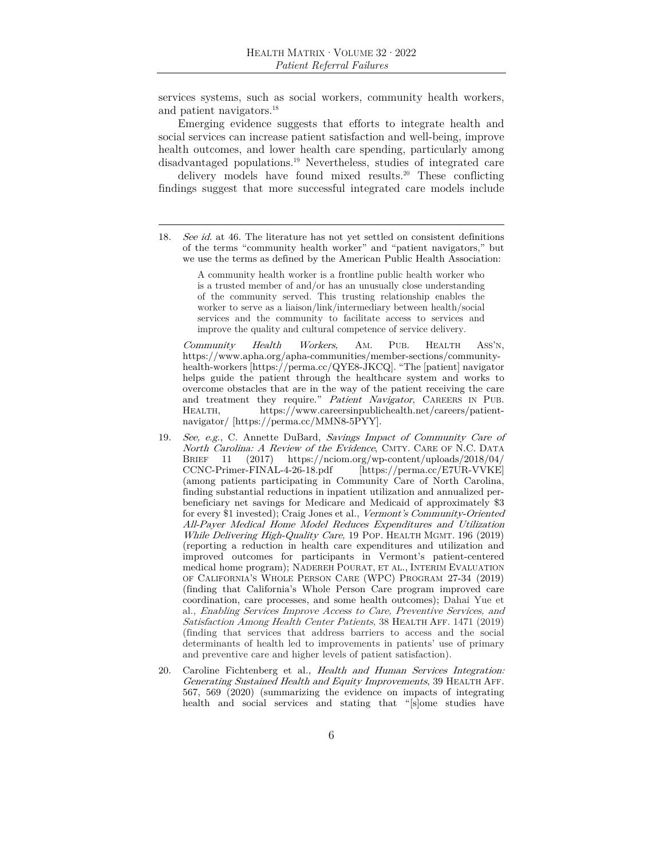services systems, such as social workers, community health workers, and patient navigators.18

Emerging evidence suggests that efforts to integrate health and social services can increase patient satisfaction and well-being, improve health outcomes, and lower health care spending, particularly among disadvantaged populations.19 Nevertheless, studies of integrated care

delivery models have found mixed results.20 These conflicting findings suggest that more successful integrated care models include

A community health worker is a frontline public health worker who is a trusted member of and/or has an unusually close understanding of the community served. This trusting relationship enables the worker to serve as a liaison/link/intermediary between health/social services and the community to facilitate access to services and improve the quality and cultural competence of service delivery.

 Community Health Workers, AM. PUB. HEALTH ASS'N, https://www.apha.org/apha-communities/member-sections/communityhealth-workers [https://perma.cc/QYE8-JKCQ]. "The [patient] navigator helps guide the patient through the healthcare system and works to overcome obstacles that are in the way of the patient receiving the care and treatment they require." Patient Navigator, CAREERS IN PUB. HEALTH, https://www.careersinpublichealth.net/careers/patientnavigator/ [https://perma.cc/MMN8-5PYY].

- 19. See, e.g., C. Annette DuBard, Savings Impact of Community Care of North Carolina: A Review of the Evidence, CMTY. CARE OF N.C. DATA BRIEF 11 (2017) https://nciom.org/wp-content/uploads/2018/04/  $[https://perma.cc/ETUR-VVKE]$ (among patients participating in Community Care of North Carolina, finding substantial reductions in inpatient utilization and annualized perbeneficiary net savings for Medicare and Medicaid of approximately \$3 for every \$1 invested); Craig Jones et al., Vermont's Community-Oriented All-Payer Medical Home Model Reduces Expenditures and Utilization While Delivering High-Quality Care, 19 POP. HEALTH MGMT. 196 (2019) (reporting a reduction in health care expenditures and utilization and improved outcomes for participants in Vermont's patient-centered medical home program); NADEREH POURAT, ET AL., INTERIM EVALUATION OF CALIFORNIA'S WHOLE PERSON CARE (WPC) PROGRAM 27-34 (2019) (finding that California's Whole Person Care program improved care coordination, care processes, and some health outcomes); Dahai Yue et al., Enabling Services Improve Access to Care, Preventive Services, and Satisfaction Among Health Center Patients, 38 HEALTH AFF. 1471 (2019) (finding that services that address barriers to access and the social determinants of health led to improvements in patients' use of primary and preventive care and higher levels of patient satisfaction).
- 20. Caroline Fichtenberg et al., Health and Human Services Integration: Generating Sustained Health and Equity Improvements, 39 HEALTH AFF. 567, 569 (2020) (summarizing the evidence on impacts of integrating health and social services and stating that "[s]ome studies have

<sup>18</sup>. See id. at 46. The literature has not yet settled on consistent definitions of the terms "community health worker" and "patient navigators," but we use the terms as defined by the American Public Health Association: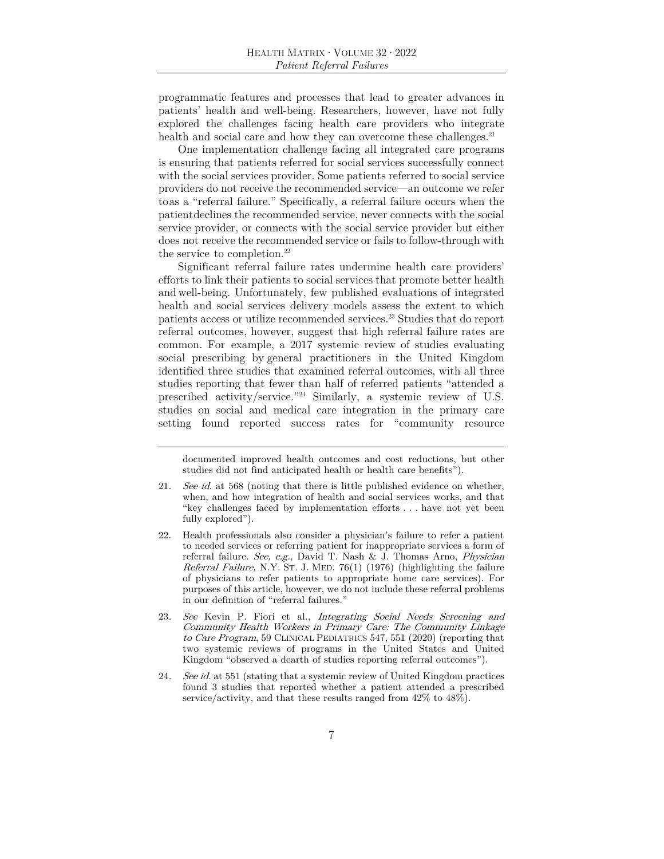programmatic features and processes that lead to greater advances in patients' health and well-being. Researchers, however, have not fully explored the challenges facing health care providers who integrate health and social care and how they can overcome these challenges.<sup>21</sup>

One implementation challenge facing all integrated care programs is ensuring that patients referred for social services successfully connect with the social services provider. Some patients referred to social service providers do not receive the recommended service—an outcome we refer to as a "referral failure." Specifically, a referral failure occurs when the patient declines the recommended service, never connects with the social service provider, or connects with the social service provider but either does not receive the recommended service or fails to follow-through with the service to completion.<sup>22</sup>

Significant referral failure rates undermine health care providers' efforts to link their patients to social services that promote better health and well-being. Unfortunately, few published evaluations of integrated health and social services delivery models assess the extent to which patients access or utilize recommended services.23 Studies that do report referral outcomes, however, suggest that high referral failure rates are common. For example, a 2017 systemic review of studies evaluating social prescribing by general practitioners in the United Kingdom identified three studies that examined referral outcomes, with all three studies reporting that fewer than half of referred patients "attended a prescribed activity/service."24 Similarly, a systemic review of U.S. studies on social and medical care integration in the primary care setting found reported success rates for "community resource

documented improved health outcomes and cost reductions, but other studies did not find anticipated health or health care benefits").

<sup>21</sup>. See id. at 568 (noting that there is little published evidence on whether, when, and how integration of health and social services works, and that "key challenges faced by implementation efforts . . . have not yet been fully explored").

<sup>22.</sup> Health professionals also consider a physician's failure to refer a patient to needed services or referring patient for inappropriate services a form of referral failure. See, e.g., David T. Nash & J. Thomas Arno, Physician Referral Failure, N.Y. ST. J. MED. 76(1) (1976) (highlighting the failure of physicians to refer patients to appropriate home care services). For purposes of this article, however, we do not include these referral problems in our definition of "referral failures."

<sup>23</sup>. See Kevin P. Fiori et al., Integrating Social Needs Screening and Community Health Workers in Primary Care: The Community Linkage to Care Program, 59 CLINICAL PEDIATRICS 547, 551 (2020) (reporting that two systemic reviews of programs in the United States and United Kingdom "observed a dearth of studies reporting referral outcomes").

<sup>24.</sup> See id. at 551 (stating that a systemic review of United Kingdom practices found 3 studies that reported whether a patient attended a prescribed service/activity, and that these results ranged from 42% to 48%).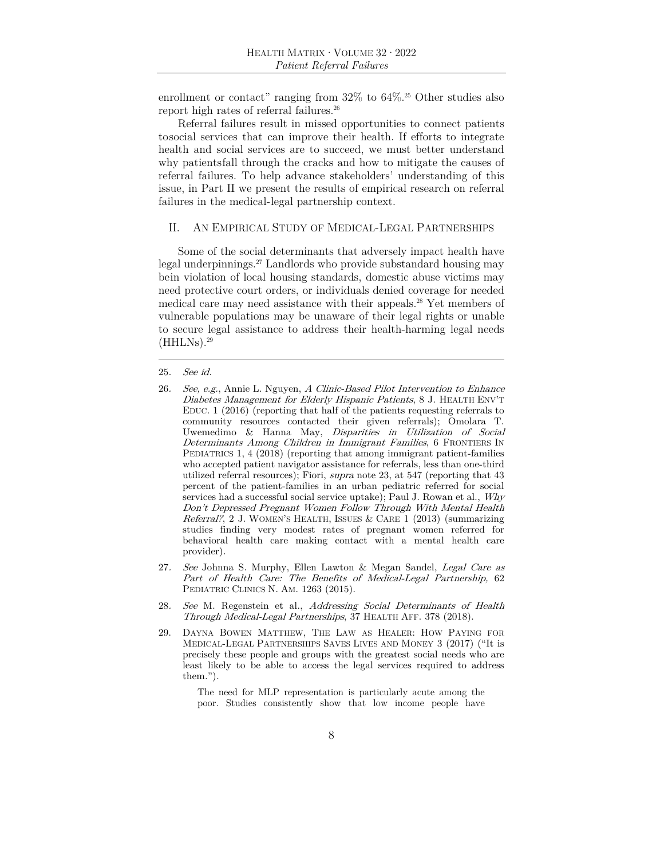enrollment or contact" ranging from  $32\%$  to  $64\%$ <sup>25</sup> Other studies also report high rates of referral failures.<sup>26</sup>

Referral failures result in missed opportunities to connect patients to social services that can improve their health. If efforts to integrate health and social services are to succeed, we must better understand why patients fall through the cracks and how to mitigate the causes of referral failures. To help advance stakeholders' understanding of this issue, in Part II we present the results of empirical research on referral failures in the medical- legal partnership context.

#### II. AN EMPIRICAL STUDY OF MEDICAL-LEGAL PARTNERSHIPS

Some of the social determinants that adversely impact health have legal underpinnings.27 Landlords who provide substandard housing may be in violation of local housing standards, domestic abuse victims may need protective court orders, or individuals denied coverage for needed medical care may need assistance with their appeals.28 Yet members of vulnerable populations may be unaware of their legal rights or unable to secure legal assistance to address their health-harming legal needs  $(HHLNs).<sup>29</sup>$ 

- 27. See Johnna S. Murphy, Ellen Lawton & Megan Sandel, Legal Care as Part of Health Care: The Benefits of Medical-Legal Partnership, 62 PEDIATRIC CLINICS N. AM. 1263 (2015).
- 28. See M. Regenstein et al., Addressing Social Determinants of Health Through Medical-Legal Partnerships, 37 HEALTH AFF. 378 (2018).
- 29. DAYNA BOWEN MATTHEW, THE LAW AS HEALER: HOW PAYING FOR MEDICAL-LEGAL PARTNERSHIPS SAVES LIVES AND MONEY 3 (2017) ("It is precisely these people and groups with the greatest social needs who are least likely to be able to access the legal services required to address them.").

The need for MLP representation is particularly acute among the poor. Studies consistently show that low income people have

<sup>25</sup>. See id.

<sup>26</sup>. See, e.g., Annie L. Nguyen, A Clinic-Based Pilot Intervention to Enhance Diabetes Management for Elderly Hispanic Patients, 8 J. HEALTH ENV'T EDUC. 1 (2016) (reporting that half of the patients requesting referrals to community resources contacted their given referrals); Omolara T. Uwemedimo & Hanna May, *Disparities in Utilization of Social* Determinants Among Children in Immigrant Families, 6 FRONTIERS IN PEDIATRICS 1, 4 (2018) (reporting that among immigrant patient-families who accepted patient navigator assistance for referrals, less than one-third utilized referral resources); Fiori, supra note 23, at 547 (reporting that 43 percent of the patient-families in an urban pediatric referred for social services had a successful social service uptake); Paul J. Rowan et al., Why Don't Depressed Pregnant Women Follow Through With Mental Health Referral?, 2 J. WOMEN'S HEALTH, ISSUES & CARE 1 (2013) (summarizing studies finding very modest rates of pregnant women referred for behavioral health care making contact with a mental health care provider).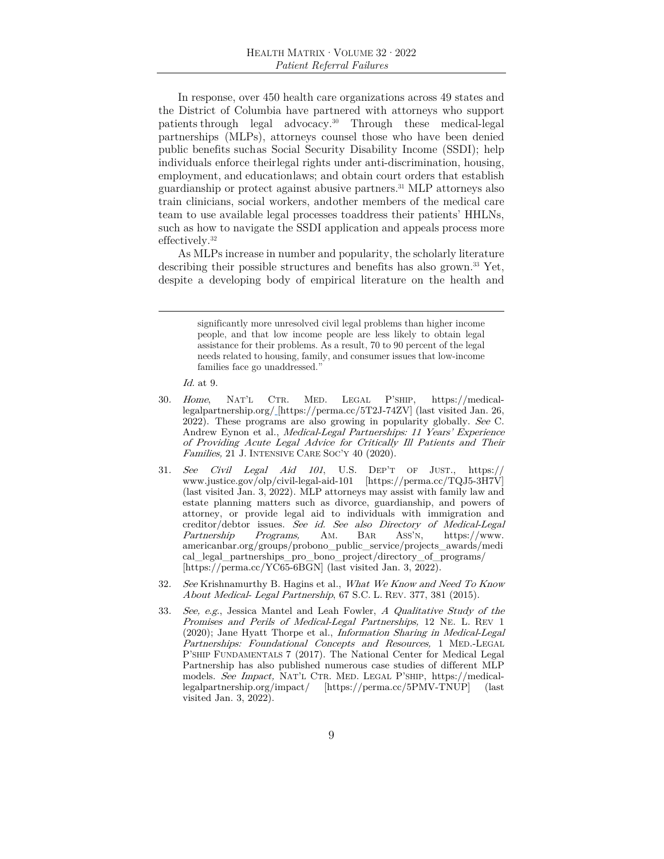In response, over 450 health care organizations across 49 states and the District of Columbia have partnered with attorneys who support patients through legal advocacy.30 Through these medical-legal partnerships (MLPs), attorneys counsel those who have been denied public benefits such as Social Security Disability Income (SSDI); help individuals enforce their legal rights under anti-discrimination, housing, employment, and education laws; and obtain court orders that establish guardianship or protect against abusive partners.31 MLP attorneys also train clinicians, social workers, and other members of the medical care team to use available legal processes to address their patients' HHLNs, such as how to navigate the SSDI application and appeals process more effectively.32

As MLPs increase in number and popularity, the scholarly literature describing their possible structures and benefits has also grown.<sup>33</sup> Yet, despite a developing body of empirical literature on the health and

> significantly more unresolved civil legal problems than higher income people, and that low income people are less likely to obtain legal assistance for their problems. As a result, 70 to 90 percent of the legal needs related to housing, family, and consumer issues that low-income families face go unaddressed."

Id. at 9.

- 30. Home, NAT'L CTR. MED. LEGAL P'SHIP, https://medicallegalpartnership.org/ [https://perma.cc/5T2J-74ZV] (last visited Jan. 26, 2022). These programs are also growing in popularity globally. See C. Andrew Eynon et al., Medical-Legal Partnerships: 11 Years' Experience of Providing Acute Legal Advice for Critically Ill Patients and Their Families, 21 J. INTENSIVE CARE SOC'Y 40 (2020).
- 31. See Civil Legal Aid  $101$ , U.S. DEP'T OF JUST.,  $\frac{https://}{?}$ www.justice.gov/olp/civil-legal-aid-101 [https://perma.cc/TQJ5-3H7V] (last visited Jan. 3, 2022). MLP attorneys may assist with family law and estate planning matters such as divorce, guardianship, and powers of attorney, or provide legal aid to individuals with immigration and creditor/debtor issues. See id. See also Directory of Medical-Legal Partnership Programs, AM. BAR Ass'N, https://www. Partnership Programs, AM. BAR ASS'N, https://www. americanbar.org/groups/probono\_public\_service/projects\_awards/medi cal\_legal\_partnerships\_pro\_bono\_project/directory\_of\_programs/ [https://perma.cc/YC65-6BGN] (last visited Jan. 3, 2022).
- 32. See Krishnamurthy B. Hagins et al., What We Know and Need To Know About Medical- Legal Partnership, 67 S.C. L. REV. 377, 381 (2015).
- 33. See, e.g., Jessica Mantel and Leah Fowler, A Qualitative Study of the Promises and Perils of Medical-Legal Partnerships, 12 NE. L. REV 1 (2020); Jane Hyatt Thorpe et al., Information Sharing in Medical-Legal Partnerships: Foundational Concepts and Resources, 1 MED.-LEGAL P'SHIP FUNDAMENTALS 7 (2017). The National Center for Medical Legal Partnership has also published numerous case studies of different MLP models. See Impact, NAT'L CTR. MED. LEGAL P'SHIP, https://medicallegalpartnership.org/impact/ [https://perma.cc/5PMV-TNUP] (last visited Jan. 3, 2022).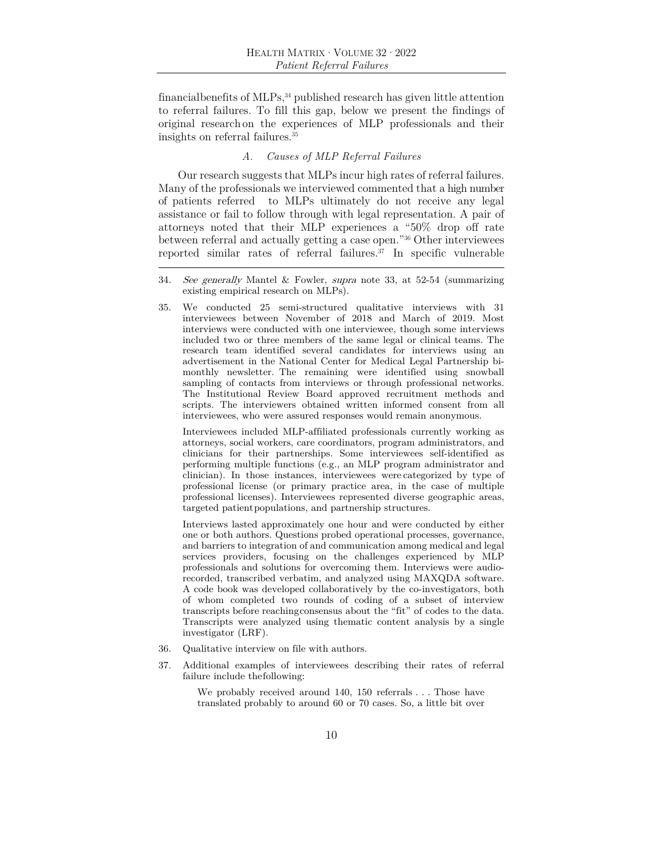financial benefits of MLPs,34 published research has given little attention to referral failures. To fill this gap, below we present the findings of original research on the experiences of MLP professionals and their insights on referral failures.35

## *A. Causes of MLP Referral Failures*

Our research suggests that MLPs incur high rates of referral failures. Many of the professionals we interviewed commented that a high number of patients referred to MLPs ultimately do not receive any legal assistance or fail to follow through with legal representation. A pair of attorneys noted that their MLP experiences a "50% drop off rate between referral and actually getting a case open."36 Other interviewees reported similar rates of referral failures. $37$  In specific vulnerable

35. We conducted 25 semi-structured qualitative interviews with 31 interviewees between November of 2018 and March of 2019. Most interviews were conducted with one interviewee, though some interviews included two or three members of the same legal or clinical teams. The research team identified several candidates for interviews using an advertisement in the National Center for Medical Legal Partnership bimonthly newsletter. The remaining were identified using snowball sampling of contacts from interviews or through professional networks. The Institutional Review Board approved recruitment methods and scripts. The interviewers obtained written informed consent from all interviewees, who were assured responses would remain anonymous.

 Interviewees included MLP-affiliated professionals currently working as attorneys, social workers, care coordinators, program administrators, and clinicians for their partnerships. Some interviewees self-identified as performing multiple functions (e.g., an MLP program administrator and clinician). In those instances, interviewees were categorized by type of professional license (or primary practice area, in the case of multiple professional licenses). Interviewees represented diverse geographic areas, targeted patient populations, and partnership structures.

 Interviews lasted approximately one hour and were conducted by either one or both authors. Questions probed operational processes, governance, and barriers to integration of and communication among medical and legal services providers, focusing on the challenges experienced by MLP professionals and solutions for overcoming them. Interviews were audiorecorded, transcribed verbatim, and analyzed using MAXQDA software. A code book was developed collaboratively by the co-investigators, both of whom completed two rounds of coding of a subset of interview transcripts before reaching consensus about the "fit" of codes to the data. Transcripts were analyzed using thematic content analysis by a single investigator (LRF).

- 36. Qualitative interview on file with authors.
- 37. Additional examples of interviewees describing their rates of referral failure include the following:

We probably received around 140, 150 referrals . . . Those have translated probably to around 60 or 70 cases. So, a little bit over

<sup>34</sup>. See generally Mantel & Fowler, supra note 33, at 52-54 (summarizing existing empirical research on MLPs).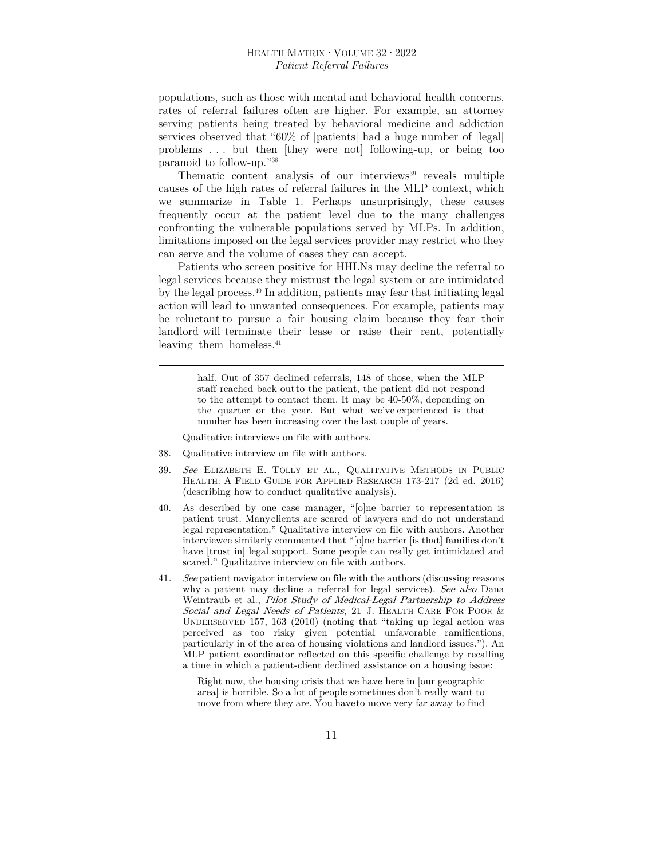populations, such as those with mental and behavioral health concerns, rates of referral failures often are higher. For example, an attorney serving patients being treated by behavioral medicine and addiction services observed that "60% of [patients] had a huge number of [legal] problems . . . but then [they were not] following-up, or being too paranoid to follow-up."38

Thematic content analysis of our interviews $39$  reveals multiple causes of the high rates of referral failures in the MLP context, which we summarize in Table 1. Perhaps unsurprisingly, these causes frequently occur at the patient level due to the many challenges confronting the vulnerable populations served by MLPs. In addition, limitations imposed on the legal services provider may restrict who they can serve and the volume of cases they can accept.

Patients who screen positive for HHLNs may decline the referral to legal services because they mistrust the legal system or are intimidated by the legal process.40 In addition, patients may fear that initiating legal action will lead to unwanted consequences. For example, patients may be reluctant to pursue a fair housing claim because they fear their landlord will terminate their lease or raise their rent, potentially leaving them homeless.<sup>41</sup>

> half. Out of 357 declined referrals, 148 of those, when the MLP staff reached back out to the patient, the patient did not respond to the attempt to contact them. It may be 40-50%, depending on the quarter or the year. But what we've experienced is that number has been increasing over the last couple of years.

Qualitative interviews on file with authors.

- 38. Qualitative interview on file with authors.
- 39. See ELIZABETH E. TOLLY ET AL., QUALITATIVE METHODS IN PUBLIC HEALTH: A FIELD GUIDE FOR APPLIED RESEARCH 173-217 (2d ed. 2016) (describing how to conduct qualitative analysis).
- 40. As described by one case manager, "[o]ne barrier to representation is patient trust. Many clients are scared of lawyers and do not understand legal representation." Qualitative interview on file with authors. Another interviewee similarly commented that "[o]ne barrier [is that] families don't have [trust in] legal support. Some people can really get intimidated and scared." Qualitative interview on file with authors.
- 41. See patient navigator interview on file with the authors (discussing reasons why a patient may decline a referral for legal services). See also Dana Weintraub et al., Pilot Study of Medical-Legal Partnership to Address Social and Legal Needs of Patients, 21 J. HEALTH CARE FOR POOR & UNDERSERVED 157, 163 (2010) (noting that "taking up legal action was perceived as too risky given potential unfavorable ramifications, particularly in of the area of housing violations and landlord issues."). An MLP patient coordinator reflected on this specific challenge by recalling a time in which a patient-client declined assistance on a housing issue:

Right now, the housing crisis that we have here in [our geographic area] is horrible. So a lot of people sometimes don't really want to move from where they are. You have to move very far away to find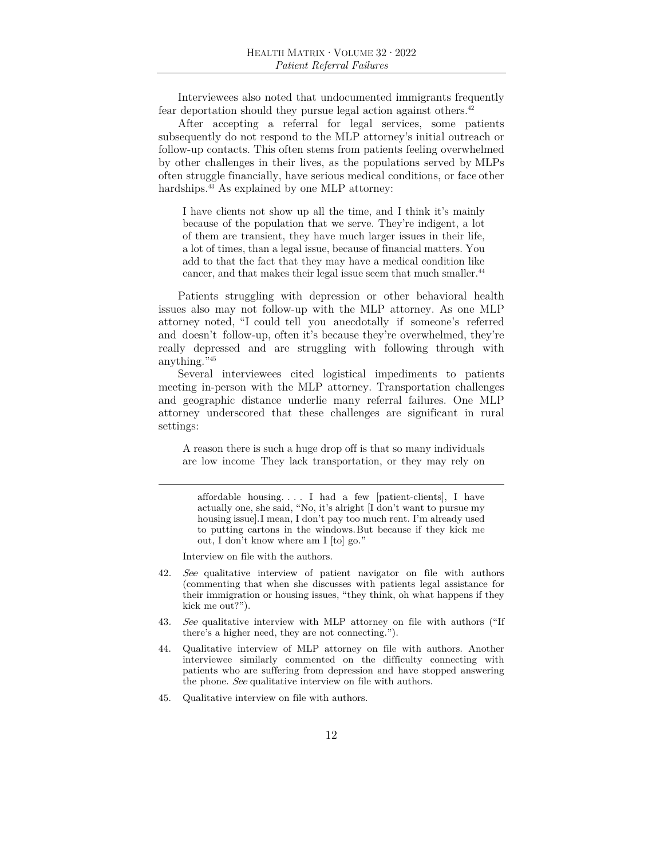Interviewees also noted that undocumented immigrants frequently fear deportation should they pursue legal action against others.42

After accepting a referral for legal services, some patients subsequently do not respond to the MLP attorney's initial outreach or follow-up contacts. This often stems from patients feeling overwhelmed by other challenges in their lives, as the populations served by MLPs often struggle financially, have serious medical conditions, or face other hardships.<sup>43</sup> As explained by one MLP attorney:

I have clients not show up all the time, and I think it's mainly because of the population that we serve. They're indigent, a lot of them are transient, they have much larger issues in their life, a lot of times, than a legal issue, because of financial matters. You add to that the fact that they may have a medical condition like cancer, and that makes their legal issue seem that much smaller.<sup>44</sup>

Patients struggling with depression or other behavioral health issues also may not follow-up with the MLP attorney. As one MLP attorney noted, "I could tell you anecdotally if someone's referred and doesn't follow-up, often it's because they're overwhelmed, they're really depressed and are struggling with following through with anything."45

Several interviewees cited logistical impediments to patients meeting in-person with the MLP attorney. Transportation challenges and geographic distance underlie many referral failures. One MLP attorney underscored that these challenges are significant in rural settings:

A reason there is such a huge drop off is that so many individuals are low income They lack transportation, or they may rely on

affordable housing. . . . I had a few [patient-clients], I have actually one, she said, "No, it's alright [I don't want to pursue my housing issue]. I mean, I don't pay too much rent. I'm already used to putting cartons in the windows. But because if they kick me out, I don't know where am I [to] go."

Interview on file with the authors.

- 42. See qualitative interview of patient navigator on file with authors (commenting that when she discusses with patients legal assistance for their immigration or housing issues, "they think, oh what happens if they kick me out?").
- 43. See qualitative interview with MLP attorney on file with authors ("If there's a higher need, they are not connecting.").
- 44. Qualitative interview of MLP attorney on file with authors. Another interviewee similarly commented on the difficulty connecting with patients who are suffering from depression and have stopped answering the phone. See qualitative interview on file with authors.
- 45. Qualitative interview on file with authors.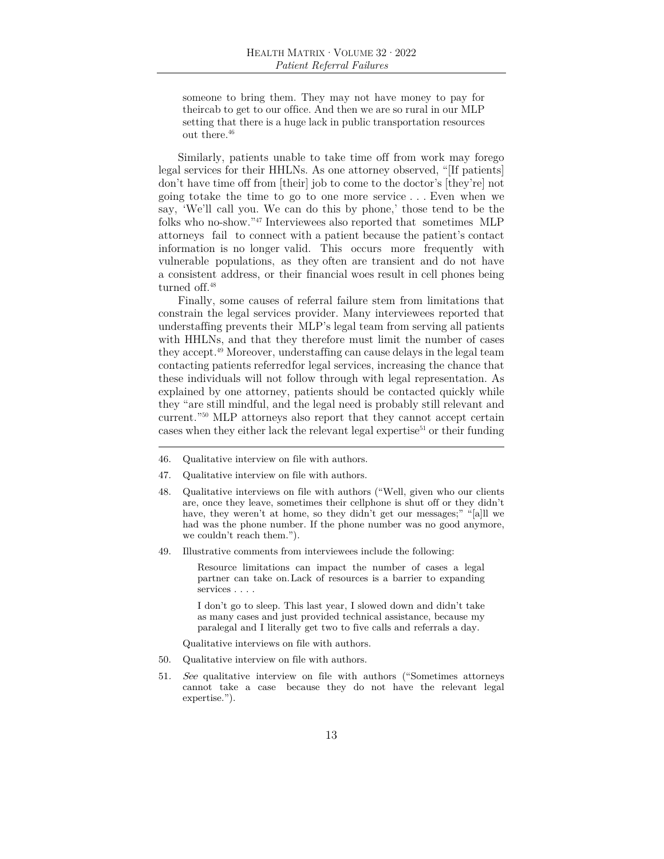someone to bring them. They may not have money to pay for their cab to get to our office. And then we are so rural in our MLP setting that there is a huge lack in public transportation resources out there.46

Similarly, patients unable to take time off from work may forego legal services for their HHLNs. As one attorney observed, "[If patients] don't have time off from [their] job to come to the doctor's [they're] not going to take the time to go to one more service . . . Even when we say, 'We'll call you. We can do this by phone,' those tend to be the folks who no-show."47 Interviewees also reported that sometimes MLP attorneys fail to connect with a patient because the patient's contact information is no longer valid. This occurs more frequently with vulnerable populations, as they often are transient and do not have a consistent address, or their financial woes result in cell phones being turned off.<sup>48</sup>

Finally, some causes of referral failure stem from limitations that constrain the legal services provider. Many interviewees reported that understaffing prevents their MLP's legal team from serving all patients with HHLNs, and that they therefore must limit the number of cases they accept.49 Moreover, understaffing can cause delays in the legal team contacting patients referred for legal services, increasing the chance that these individuals will not follow through with legal representation. As explained by one attorney, patients should be contacted quickly while they "are still mindful, and the legal need is probably still relevant and current."50 MLP attorneys also report that they cannot accept certain cases when they either lack the relevant legal expertise<sup>51</sup> or their funding

- 46. Qualitative interview on file with authors.
- 47. Qualitative interview on file with authors.
- 48. Qualitative interviews on file with authors ("Well, given who our clients are, once they leave, sometimes their cellphone is shut off or they didn't have, they weren't at home, so they didn't get our messages;" "[a]ll we had was the phone number. If the phone number was no good anymore, we couldn't reach them.").
- 49. Illustrative comments from interviewees include the following:

Resource limitations can impact the number of cases a legal partner can take on. Lack of resources is a barrier to expanding services . . . .

I don't go to sleep. This last year, I slowed down and didn't take as many cases and just provided technical assistance, because my paralegal and I literally get two to five calls and referrals a day.

Qualitative interviews on file with authors.

- 50. Qualitative interview on file with authors.
- 51. See qualitative interview on file with authors ("Sometimes attorneys cannot take a case because they do not have the relevant legal expertise.").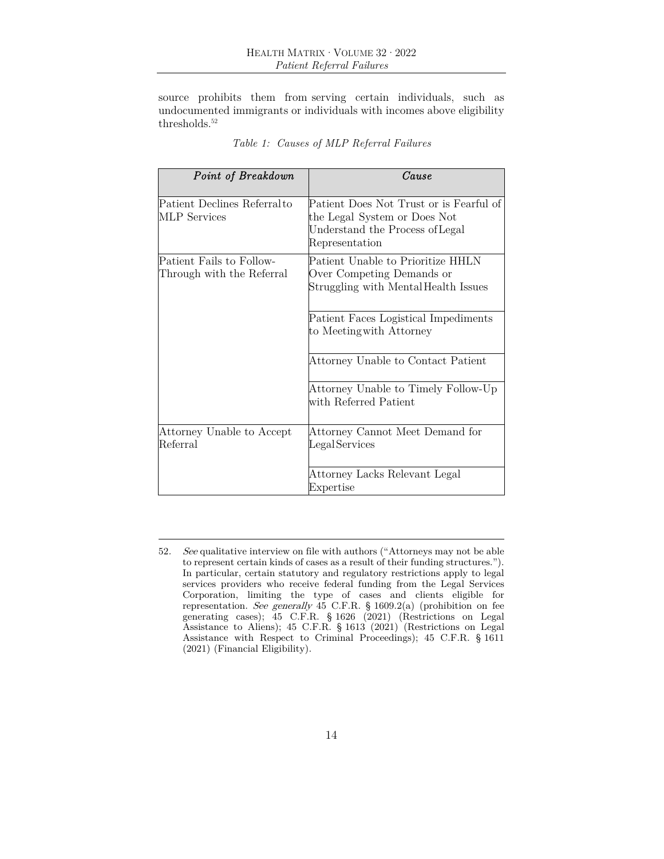source prohibits them from serving certain individuals, such as undocumented immigrants or individuals with incomes above eligibility thresholds.<sup>52</sup>

| Point of Breakdown                                    | Cause                                                                                                                        |
|-------------------------------------------------------|------------------------------------------------------------------------------------------------------------------------------|
| Patient Declines Referral to<br><b>MLP</b> Services   | Patient Does Not Trust or is Fearful of<br>the Legal System or Does Not<br>Understand the Process of Legal<br>Representation |
| Patient Fails to Follow-<br>Through with the Referral | Patient Unable to Prioritize HHLN<br>Over Competing Demands or<br>Struggling with Mental Health Issues                       |
|                                                       | Patient Faces Logistical Impediments<br>to Meeting with Attorney                                                             |
|                                                       | Attorney Unable to Contact Patient                                                                                           |
|                                                       | Attorney Unable to Timely Follow-Up<br>with Referred Patient                                                                 |
| Attorney Unable to Accept<br>Referral                 | Attorney Cannot Meet Demand for<br>Legal Services                                                                            |
|                                                       | Attorney Lacks Relevant Legal<br>Expertise                                                                                   |

| Table 1: Causes of MLP Referral Failures |  |  |
|------------------------------------------|--|--|
|                                          |  |  |

<sup>52</sup>. See qualitative interview on file with authors ("Attorneys may not be able to represent certain kinds of cases as a result of their funding structures."). In particular, certain statutory and regulatory restrictions apply to legal services providers who receive federal funding from the Legal Services Corporation, limiting the type of cases and clients eligible for representation. See generally 45 C.F.R. § 1609.2(a) (prohibition on fee generating cases); 45 C.F.R. § 1626 (2021) (Restrictions on Legal Assistance to Aliens); 45 C.F.R. § 1613 (2021) (Restrictions on Legal Assistance with Respect to Criminal Proceedings); 45 C.F.R. § 1611 (2021) (Financial Eligibility).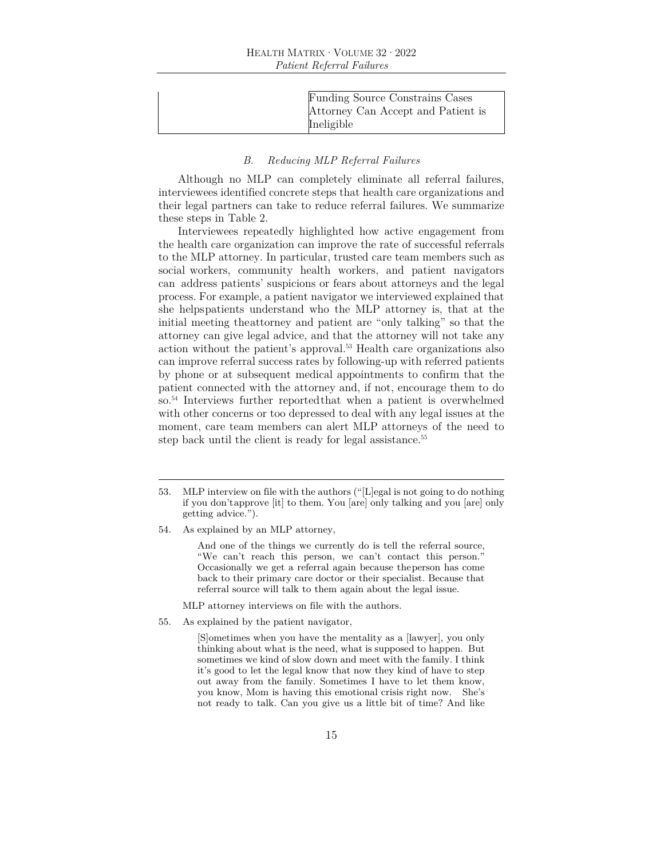| Funding Source Constrains Cases    |
|------------------------------------|
| Attorney Can Accept and Patient is |
| Ineligible                         |
|                                    |

## *B. Reducing MLP Referral Failures*

Although no MLP can completely eliminate all referral failures, interviewees identified concrete steps that health care organizations and their legal partners can take to reduce referral failures. We summarize these steps in Table 2.

Interviewees repeatedly highlighted how active engagement from the health care organization can improve the rate of successful referrals to the MLP attorney. In particular, trusted care team members such as social workers, community health workers, and patient navigators can address patients' suspicions or fears about attorneys and the legal process. For example, a patient navigator we interviewed explained that she helps patients understand who the MLP attorney is, that at the initial meeting the attorney and patient are "only talking" so that the attorney can give legal advice, and that the attorney will not take any action without the patient's approval.53 Health care organizations also can improve referral success rates by following-up with referred patients by phone or at subsequent medical appointments to confirm that the patient connected with the attorney and, if not, encourage them to do so.54 Interviews further reported that when a patient is overwhelmed with other concerns or too depressed to deal with any legal issues at the moment, care team members can alert MLP attorneys of the need to step back until the client is ready for legal assistance.<sup>55</sup>

And one of the things we currently do is tell the referral source, "We can't reach this person, we can't contact this person." Occasionally we get a referral again because the person has come back to their primary care doctor or their specialist. Because that referral source will talk to them again about the legal issue.

- MLP attorney interviews on file with the authors.
- 55. As explained by the patient navigator,

[S]ometimes when you have the mentality as a [lawyer], you only thinking about what is the need, what is supposed to happen. But sometimes we kind of slow down and meet with the family. I think it's good to let the legal know that now they kind of have to step out away from the family. Sometimes I have to let them know, you know, Mom is having this emotional crisis right now. She's not ready to talk. Can you give us a little bit of time? And like

<sup>53.</sup> MLP interview on file with the authors ("[L]egal is not going to do nothing if you don't approve [it] to them. You [are] only talking and you [are] only getting advice.").

<sup>54.</sup> As explained by an MLP attorney,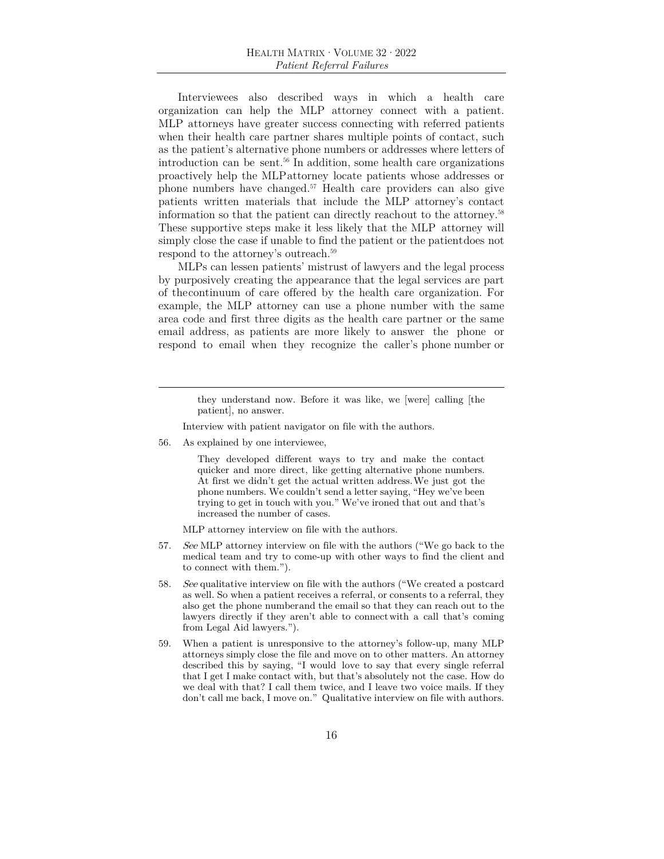Interviewees also described ways in which a health care organization can help the MLP attorney connect with a patient. MLP attorneys have greater success connecting with referred patients when their health care partner shares multiple points of contact, such as the patient's alternative phone numbers or addresses where letters of introduction can be sent.56 In addition, some health care organizations proactively help the MLP attorney locate patients whose addresses or phone numbers have changed.57 Health care providers can also give patients written materials that include the MLP attorney's contact information so that the patient can directly reach out to the attorney.58 These supportive steps make it less likely that the MLP attorney will simply close the case if unable to find the patient or the patient does not respond to the attorney's outreach.<sup>59</sup>

MLPs can lessen patients' mistrust of lawyers and the legal process by purposively creating the appearance that the legal services are part of the continuum of care offered by the health care organization. For example, the MLP attorney can use a phone number with the same area code and first three digits as the health care partner or the same email address, as patients are more likely to answer the phone or respond to email when they recognize the caller's phone number or

> they understand now. Before it was like, we [were] calling [the patient], no answer.

Interview with patient navigator on file with the authors.

56. As explained by one interviewee,

They developed different ways to try and make the contact quicker and more direct, like getting alternative phone numbers. At first we didn't get the actual written address. We just got the phone numbers. We couldn't send a letter saying, "Hey we've been trying to get in touch with you." We've ironed that out and that's increased the number of cases.

MLP attorney interview on file with the authors.

- 57. See MLP attorney interview on file with the authors ("We go back to the medical team and try to come-up with other ways to find the client and to connect with them.").
- 58. See qualitative interview on file with the authors ("We created a postcard as well. So when a patient receives a referral, or consents to a referral, they also get the phone number and the email so that they can reach out to the lawyers directly if they aren't able to connect with a call that's coming from Legal Aid lawyers.").
- 59. When a patient is unresponsive to the attorney's follow-up, many MLP attorneys simply close the file and move on to other matters. An attorney described this by saying, "I would love to say that every single referral that I get I make contact with, but that's absolutely not the case. How do we deal with that? I call them twice, and I leave two voice mails. If they don't call me back, I move on." Qualitative interview on file with authors.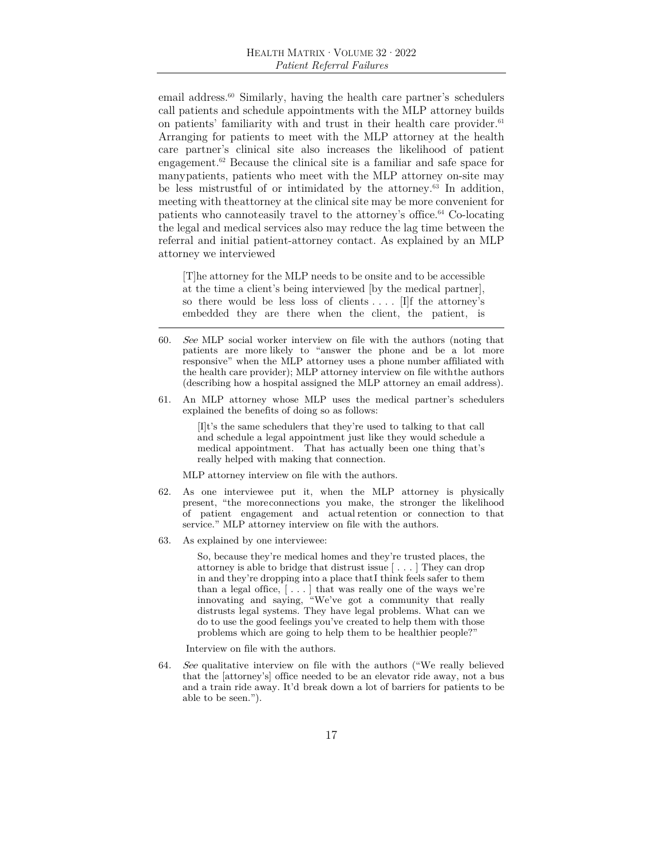email address.<sup>60</sup> Similarly, having the health care partner's schedulers call patients and schedule appointments with the MLP attorney builds on patients' familiarity with and trust in their health care provider.<sup>61</sup> Arranging for patients to meet with the MLP attorney at the health care partner's clinical site also increases the likelihood of patient engagement.62 Because the clinical site is a familiar and safe space for many patients, patients who meet with the MLP attorney on-site may be less mistrustful of or intimidated by the attorney.63 In addition, meeting with the attorney at the clinical site may be more convenient for patients who cannot easily travel to the attorney's office.64 Co-locating the legal and medical services also may reduce the lag time between the referral and initial patient-attorney contact. As explained by an MLP attorney we interviewed

[T]he attorney for the MLP needs to be onsite and to be accessible at the time a client's being interviewed [by the medical partner], so there would be less loss of clients  $\dots$  [I]f the attorney's embedded they are there when the client, the patient, is

- 60. See MLP social worker interview on file with the authors (noting that patients are more likely to "answer the phone and be a lot more responsive" when the MLP attorney uses a phone number affiliated with the health care provider); MLP attorney interview on file with the authors (describing how a hospital assigned the MLP attorney an email address).
- 61. An MLP attorney whose MLP uses the medical partner's schedulers explained the benefits of doing so as follows:

[I]t's the same schedulers that they're used to talking to that call and schedule a legal appointment just like they would schedule a medical appointment. That has actually been one thing that's really helped with making that connection.

MLP attorney interview on file with the authors.

- 62. As one interviewee put it, when the MLP attorney is physically present, "the more connections you make, the stronger the likelihood of patient engagement and actual retention or connection to that service." MLP attorney interview on file with the authors.
- 63. As explained by one interviewee:

So, because they're medical homes and they're trusted places, the attorney is able to bridge that distrust issue [ . . . ] They can drop in and they're dropping into a place that I think feels safer to them than a legal office,  $[\ldots]$  that was really one of the ways we're innovating and saying, "We've got a community that really distrusts legal systems. They have legal problems. What can we do to use the good feelings you've created to help them with those problems which are going to help them to be healthier people?"

Interview on file with the authors.

64. See qualitative interview on file with the authors ("We really believed that the [attorney's] office needed to be an elevator ride away, not a bus and a train ride away. It'd break down a lot of barriers for patients to be able to be seen.").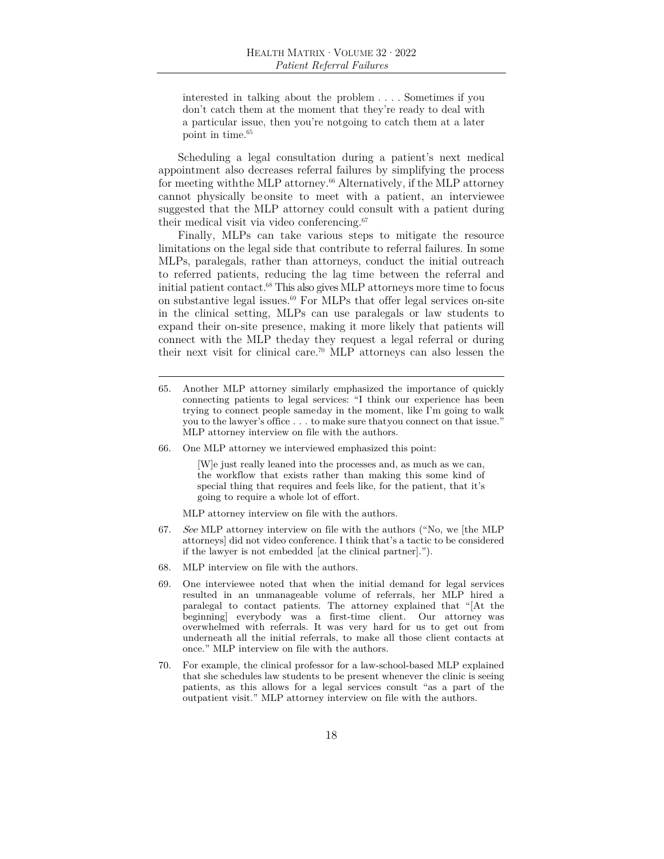interested in talking about the problem . . . . Sometimes if you don't catch them at the moment that they're ready to deal with a particular issue, then you're not going to catch them at a later point in time.65

Scheduling a legal consultation during a patient's next medical appointment also decreases referral failures by simplifying the process for meeting with the MLP attorney.<sup>66</sup> Alternatively, if the MLP attorney cannot physically be onsite to meet with a patient, an interviewee suggested that the MLP attorney could consult with a patient during their medical visit via video conferencing.67

Finally, MLPs can take various steps to mitigate the resource limitations on the legal side that contribute to referral failures. In some MLPs, paralegals, rather than attorneys, conduct the initial outreach to referred patients, reducing the lag time between the referral and initial patient contact.68 This also gives MLP attorneys more time to focus on substantive legal issues.69 For MLPs that offer legal services on-site in the clinical setting, MLPs can use paralegals or law students to expand their on-site presence, making it more likely that patients will connect with the MLP the day they request a legal referral or during their next visit for clinical care.<sup>70</sup> MLP attorneys can also lessen the

- 65. Another MLP attorney similarly emphasized the importance of quickly connecting patients to legal services: "I think our experience has been trying to connect people same day in the moment, like I'm going to walk you to the lawyer's office . . . to make sure that you connect on that issue." MLP attorney interview on file with the authors.
- 66. One MLP attorney we interviewed emphasized this point:

[W]e just really leaned into the processes and, as much as we can, the workflow that exists rather than making this some kind of special thing that requires and feels like, for the patient, that it's going to require a whole lot of effort.

MLP attorney interview on file with the authors.

- 67. See MLP attorney interview on file with the authors ("No, we [the MLP attorneys] did not video conference. I think that's a tactic to be considered if the lawyer is not embedded [at the clinical partner].").
- 68. MLP interview on file with the authors.
- 69. One interviewee noted that when the initial demand for legal services resulted in an unmanageable volume of referrals, her MLP hired a paralegal to contact patients. The attorney explained that "[At the beginning] everybody was a first-time client. Our attorney was overwhelmed with referrals. It was very hard for us to get out from underneath all the initial referrals, to make all those client contacts at once." MLP interview on file with the authors.
- 70. For example, the clinical professor for a law-school-based MLP explained that she schedules law students to be present whenever the clinic is seeing patients, as this allows for a legal services consult "as a part of the outpatient visit." MLP attorney interview on file with the authors.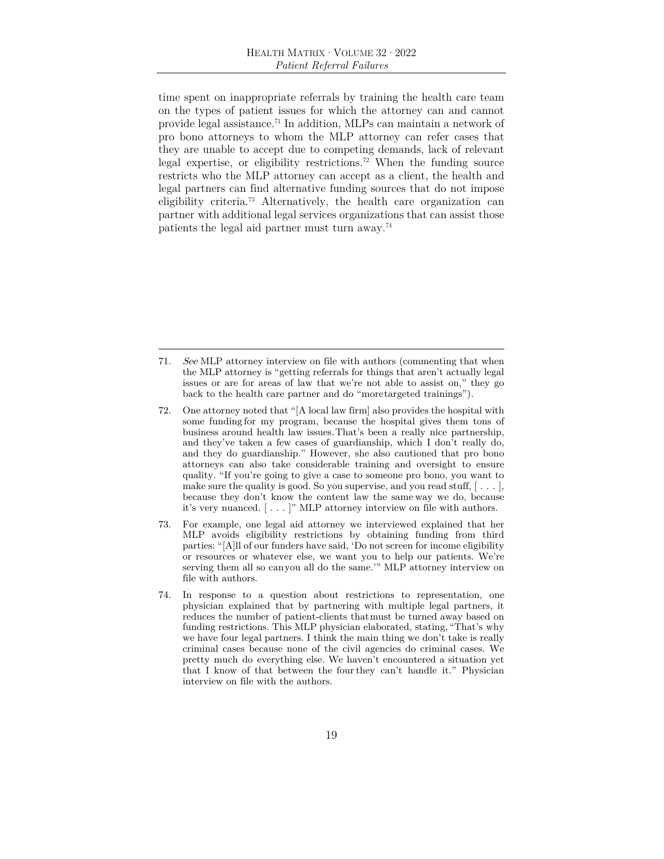time spent on inappropriate referrals by training the health care team on the types of patient issues for which the attorney can and cannot provide legal assistance.71 In addition, MLPs can maintain a network of pro bono attorneys to whom the MLP attorney can refer cases that they are unable to accept due to competing demands, lack of relevant legal expertise, or eligibility restrictions.72 When the funding source restricts who the MLP attorney can accept as a client, the health and legal partners can find alternative funding sources that do not impose eligibility criteria.73 Alternatively, the health care organization can partner with additional legal services organizations that can assist those patients the legal aid partner must turn away.74

- 71. See MLP attorney interview on file with authors (commenting that when the MLP attorney is "getting referrals for things that aren't actually legal issues or are for areas of law that we're not able to assist on," they go back to the health care partner and do "more targeted trainings"
- 72. One attorney noted that "[A local law firm] also provides the hospital with some funding for my program, because the hospital gives them tons of business around health law issues. That's been a really nice partnership, and they've taken a few cases of guardianship, which I don't really do, and they do guardianship." However, she also cautioned that pro bono attorneys can also take considerable training and oversight to ensure quality. "If you're going to give a case to someone pro bono, you want to make sure the quality is good. So you supervise, and you read stuff,  $[\ldots]$ , because they don't know the content law the same way we do, because it's very nuanced. [ . . . ]" MLP attorney interview on file with authors.
- 73. For example, one legal aid attorney we interviewed explained that her MLP avoids eligibility restrictions by obtaining funding from third parties: "[A]ll of our funders have said, 'Do not screen for income eligibility or resources or whatever else, we want you to help our patients. We're serving them all so can you all do the same." MLP attorney interview on file with authors.
- 74. In response to a question about restrictions to representation, one physician explained that by partnering with multiple legal partners, it reduces the number of patient-clients that must be turned away based on funding restrictions. This MLP physician elaborated, stating, "That's why we have four legal partners. I think the main thing we don't take is really criminal cases because none of the civil agencies do criminal cases. We pretty much do everything else. We haven't encountered a situation yet that I know of that between the four they can't handle it." Physician interview on file with the authors.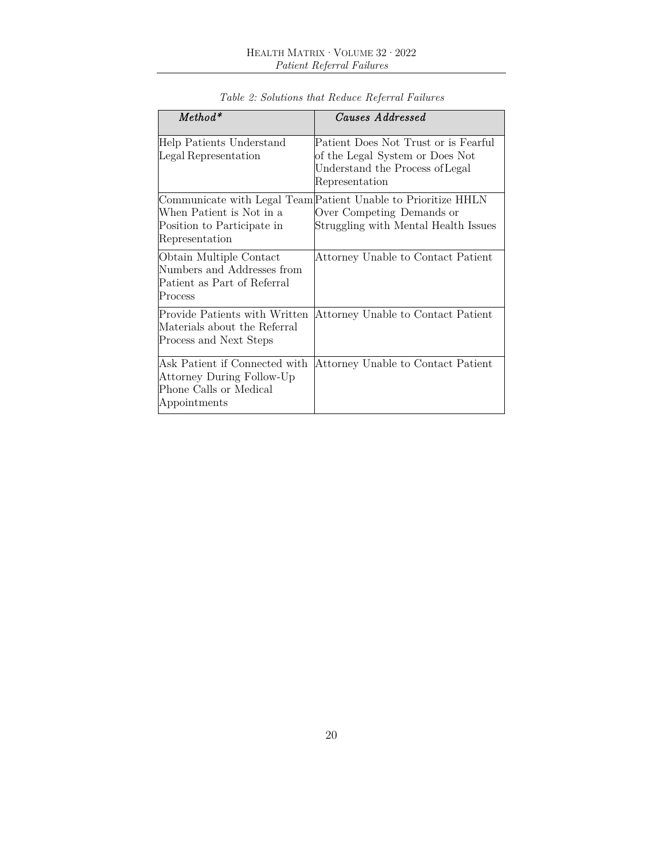| $Method*$                                                                                            | Causes Addressed                                                                                                                   |
|------------------------------------------------------------------------------------------------------|------------------------------------------------------------------------------------------------------------------------------------|
| Help Patients Understand<br>Legal Representation                                                     | Patient Does Not Trust or is Fearful<br>of the Legal System or Does Not<br>Understand the Process of Legal<br>Representation       |
| When Patient is Not in a<br>Position to Participate in<br>Representation                             | Communicate with Legal Team Patient Unable to Prioritize HHLN<br>Over Competing Demands or<br>Struggling with Mental Health Issues |
| Obtain Multiple Contact<br>Numbers and Addresses from<br>Patient as Part of Referral<br>Process      | Attorney Unable to Contact Patient                                                                                                 |
| Provide Patients with Written<br>Materials about the Referral<br>Process and Next Steps              | Attorney Unable to Contact Patient                                                                                                 |
| Ask Patient if Connected with<br>Attorney During Follow-Up<br>Phone Calls or Medical<br>Appointments | Attorney Unable to Contact Patient                                                                                                 |

*Table 2: Solutions that Reduce Referral Failures*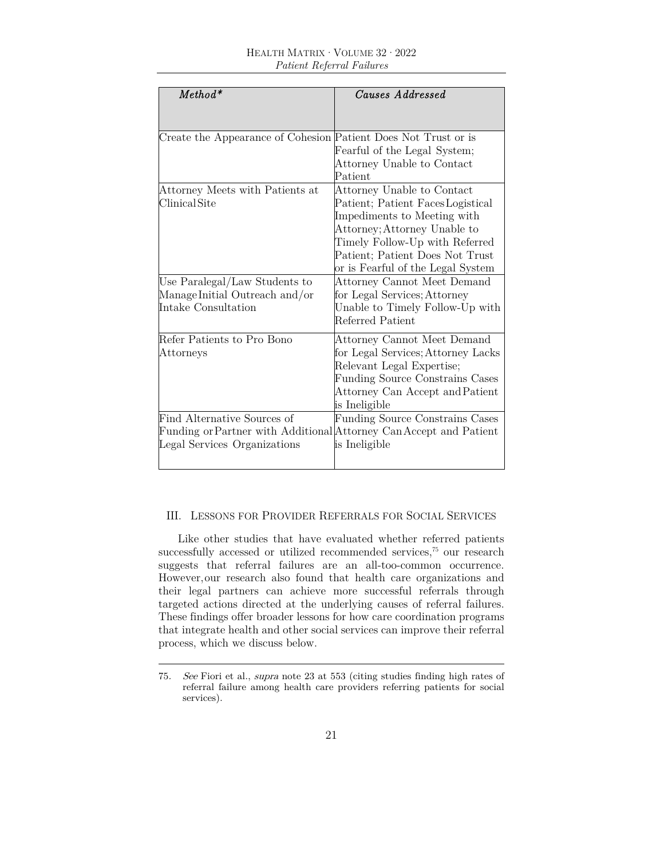| $Method*$                                                          | Causes Addressed                       |
|--------------------------------------------------------------------|----------------------------------------|
|                                                                    |                                        |
|                                                                    |                                        |
| Create the Appearance of Cohesion Patient Does Not Trust or is     |                                        |
|                                                                    | Fearful of the Legal System;           |
|                                                                    | Attorney Unable to Contact             |
|                                                                    | Patient                                |
| Attorney Meets with Patients at                                    | Attorney Unable to Contact             |
| Clinical Site                                                      | Patient; Patient Faces Logistical      |
|                                                                    | Impediments to Meeting with            |
|                                                                    | Attorney; Attorney Unable to           |
|                                                                    | Timely Follow-Up with Referred         |
|                                                                    | Patient; Patient Does Not Trust        |
|                                                                    | or is Fearful of the Legal System      |
| Use Paralegal/Law Students to                                      | Attorney Cannot Meet Demand            |
| Manage Initial Outreach and/or                                     | for Legal Services; Attorney           |
| Intake Consultation                                                | Unable to Timely Follow-Up with        |
|                                                                    | Referred Patient                       |
| Refer Patients to Pro Bono                                         | Attorney Cannot Meet Demand            |
| Attorneys                                                          | for Legal Services; Attorney Lacks     |
|                                                                    | Relevant Legal Expertise;              |
|                                                                    | <b>Funding Source Constrains Cases</b> |
|                                                                    | Attorney Can Accept and Patient        |
|                                                                    | is Ineligible                          |
| Find Alternative Sources of                                        | <b>Funding Source Constrains Cases</b> |
| Funding or Partner with Additional Attorney Can Accept and Patient |                                        |
| Legal Services Organizations                                       | is Ineligible                          |
|                                                                    |                                        |

## III. LESSONS FOR PROVIDER REFERRALS FOR SOCIAL SERVICES

Like other studies that have evaluated whether referred patients successfully accessed or utilized recommended services,<sup>75</sup> our research suggests that referral failures are an all-too-common occurrence. However, our research also found that health care organizations and their legal partners can achieve more successful referrals through targeted actions directed at the underlying causes of referral failures. These findings offer broader lessons for how care coordination programs that integrate health and other social services can improve their referral process, which we discuss below.

<sup>75</sup>. See Fiori et al., supra note 23 at 553 (citing studies finding high rates of referral failure among health care providers referring patients for social services).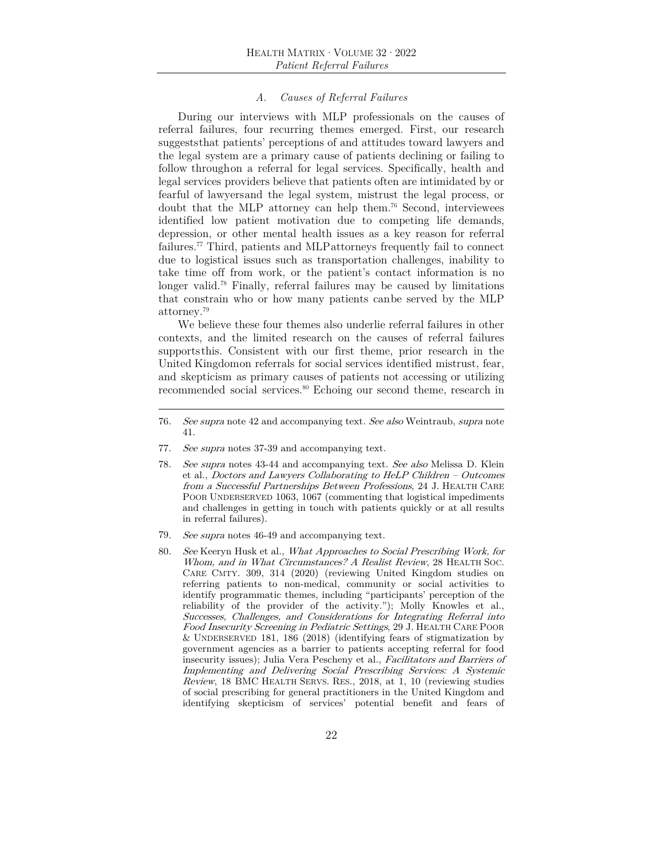#### *A. Causes of Referral Failures*

During our interviews with MLP professionals on the causes of referral failures, four recurring themes emerged. First, our research suggests that patients' perceptions of and attitudes toward lawyers and the legal system are a primary cause of patients declining or failing to follow through on a referral for legal services. Specifically, health and legal services providers believe that patients often are intimidated by or fearful of lawyers and the legal system, mistrust the legal process, or doubt that the MLP attorney can help them.76 Second, interviewees identified low patient motivation due to competing life demands, depression, or other mental health issues as a key reason for referral failures.77 Third, patients and MLP attorneys frequently fail to connect due to logistical issues such as transportation challenges, inability to take time off from work, or the patient's contact information is no longer valid.78 Finally, referral failures may be caused by limitations that constrain who or how many patients can be served by the MLP attorney.79

We believe these four themes also underlie referral failures in other contexts, and the limited research on the causes of referral failures supports this. Consistent with our first theme, prior research in the United Kingdom on referrals for social services identified mistrust, fear, and skepticism as primary causes of patients not accessing or utilizing recommended social services.<sup>80</sup> Echoing our second theme, research in

- 77. See supra notes 37-39 and accompanying text.
- 78. See supra notes 43-44 and accompanying text. See also Melissa D. Klein et al., Doctors and Lawyers Collaborating to HeLP Children – Outcomes from a Successful Partnerships Between Professions, 24 J. HEALTH CARE POOR UNDERSERVED 1063, 1067 (commenting that logistical impediments and challenges in getting in touch with patients quickly or at all results in referral failures).
- 79. See supra notes 46-49 and accompanying text.
- 80. See Keeryn Husk et al., What Approaches to Social Prescribing Work, for Whom, and in What Circumstances? A Realist Review, 28 HEALTH SOC. CARE CMTY. 309, 314 (2020) (reviewing United Kingdom studies on referring patients to non-medical, community or social activities to identify programmatic themes, including "participants' perception of the reliability of the provider of the activity."); Molly Knowles et al., Successes, Challenges, and Considerations for Integrating Referral into Food Insecurity Screening in Pediatric Settings, 29 J. HEALTH CARE POOR & UNDERSERVED 181, 186 (2018) (identifying fears of stigmatization by government agencies as a barrier to patients accepting referral for food insecurity issues); Julia Vera Pescheny et al., Facilitators and Barriers of Implementing and Delivering Social Prescribing Services: A Systemic Review, 18 BMC HEALTH SERVS. RES., 2018, at 1, 10 (reviewing studies of social prescribing for general practitioners in the United Kingdom and identifying skepticism of services' potential benefit and fears of

<sup>76</sup>. See supra note 42 and accompanying text. See also Weintraub, supra note 41.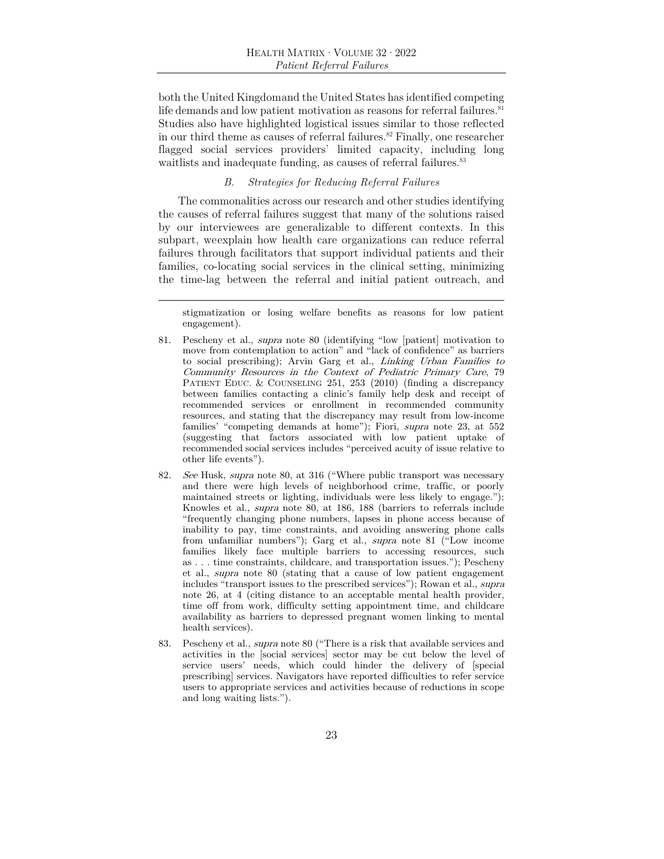both the United Kingdom and the United States has identified competing life demands and low patient motivation as reasons for referral failures. $81$ Studies also have highlighted logistical issues similar to those reflected in our third theme as causes of referral failures. $82$  Finally, one researcher flagged social services providers' limited capacity, including long waitlists and inadequate funding, as causes of referral failures.<sup>83</sup>

### *B. Strategies for Reducing Referral Failures*

The commonalities across our research and other studies identifying the causes of referral failures suggest that many of the solutions raised by our interviewees are generalizable to different contexts. In this subpart, we explain how health care organizations can reduce referral failures through facilitators that support individual patients and their families, co-locating social services in the clinical setting, minimizing the time-lag between the referral and initial patient outreach, and

stigmatization or losing welfare benefits as reasons for low patient engagement).

- 81. Pescheny et al., supra note 80 (identifying "low [patient] motivation to move from contemplation to action" and "lack of confidence" as barriers to social prescribing); Arvin Garg et al., Linking Urban Families to Community Resources in the Context of Pediatric Primary Care, 79 PATIENT EDUC. & COUNSELING 251, 253 (2010) (finding a discrepancy between families contacting a clinic's family help desk and receipt of recommended services or enrollment in recommended community resources, and stating that the discrepancy may result from low-income families' "competing demands at home"); Fiori, supra note 23, at 552 (suggesting that factors associated with low patient uptake of recommended social services includes "perceived acuity of issue relative to other life events").
- 82. See Husk, supra note 80, at 316 ("Where public transport was necessary and there were high levels of neighborhood crime, traffic, or poorly maintained streets or lighting, individuals were less likely to engage."); Knowles et al., supra note 80, at 186, 188 (barriers to referrals include "frequently changing phone numbers, lapses in phone access because of inability to pay, time constraints, and avoiding answering phone calls from unfamiliar numbers"); Garg et al., supra note 81 ("Low income families likely face multiple barriers to accessing resources, such as . . . time constraints, childcare, and transportation issues."); Pescheny et al., supra note 80 (stating that a cause of low patient engagement includes "transport issues to the prescribed services"); Rowan et al., supra note 26, at 4 (citing distance to an acceptable mental health provider, time off from work, difficulty setting appointment time, and childcare availability as barriers to depressed pregnant women linking to mental health services).
- 83. Pescheny et al., supra note 80 ("There is a risk that available services and activities in the [social services] sector may be cut below the level of service users' needs, which could hinder the delivery of [special prescribing] services. Navigators have reported difficulties to refer service users to appropriate services and activities because of reductions in scope and long waiting lists.").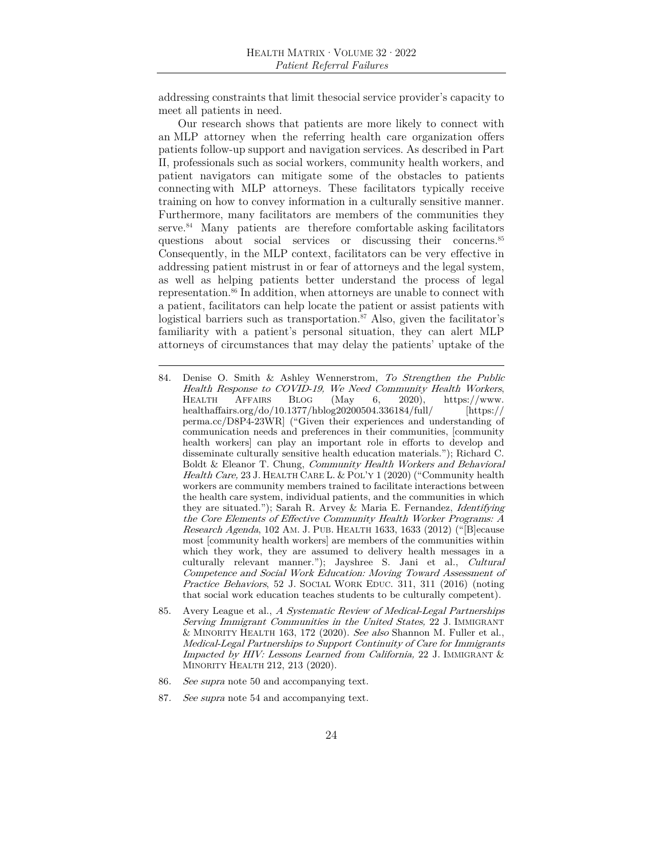addressing constraints that limit the social service provider's capacity to meet all patients in need.

Our research shows that patients are more likely to connect with an MLP attorney when the referring health care organization offers patients follow-up support and navigation services. As described in Part II, professionals such as social workers, community health workers, and patient navigators can mitigate some of the obstacles to patients connecting with MLP attorneys. These facilitators typically receive training on how to convey information in a culturally sensitive manner. Furthermore, many facilitators are members of the communities they serve.<sup>84</sup> Many patients are therefore comfortable asking facilitators questions about social services or discussing their concerns.<sup>85</sup> Consequently, in the MLP context, facilitators can be very effective in addressing patient mistrust in or fear of attorneys and the legal system, as well as helping patients better understand the process of legal representation.<sup>86</sup> In addition, when attorneys are unable to connect with a patient, facilitators can help locate the patient or assist patients with logistical barriers such as transportation.<sup>87</sup> Also, given the facilitator's familiarity with a patient's personal situation, they can alert MLP attorneys of circumstances that may delay the patients' uptake of the

- 84. Denise O. Smith & Ashley Wennerstrom, To Strengthen the Public Health Response to COVID-19, We Need Community Health Workers, HEALTH AFFAIRS BLOG (May 6, 2020), https://www.<br>healthaffairs.org/do/10.1377/hblog20200504.336184/full/ [https:// healthaffairs.org/do/10.1377/hblog20200504.336184/full/ perma.cc/D8P4-23WR] ("Given their experiences and understanding of communication needs and preferences in their communities, [community health workers] can play an important role in efforts to develop and disseminate culturally sensitive health education materials."); Richard C. Boldt & Eleanor T. Chung, Community Health Workers and Behavioral Health Care, 23 J. HEALTH CARE L. & POL'Y 1 (2020) ("Community health workers are community members trained to facilitate interactions between the health care system, individual patients, and the communities in which they are situated."); Sarah R. Arvey & Maria E. Fernandez, Identifying the Core Elements of Effective Community Health Worker Programs: A Research Agenda, 102 AM. J. PUB. HEALTH 1633, 1633 (2012) ("[B]ecause most [community health workers] are members of the communities within which they work, they are assumed to delivery health messages in a culturally relevant manner."); Jayshree S. Jani et al., Cultural Competence and Social Work Education: Moving Toward Assessment of Practice Behaviors, 52 J. SOCIAL WORK EDUC. 311, 311 (2016) (noting that social work education teaches students to be culturally competent).
- 85. Avery League et al., A Systematic Review of Medical-Legal Partnerships Serving Immigrant Communities in the United States, 22 J. IMMIGRANT & MINORITY HEALTH 163, 172 (2020). See also Shannon M. Fuller et al., Medical-Legal Partnerships to Support Continuity of Care for Immigrants Impacted by HIV: Lessons Learned from California, 22 J. IMMIGRANT & MINORITY HEALTH 212, 213 (2020).
- 86. See supra note 50 and accompanying text.
- 87. See supra note 54 and accompanying text.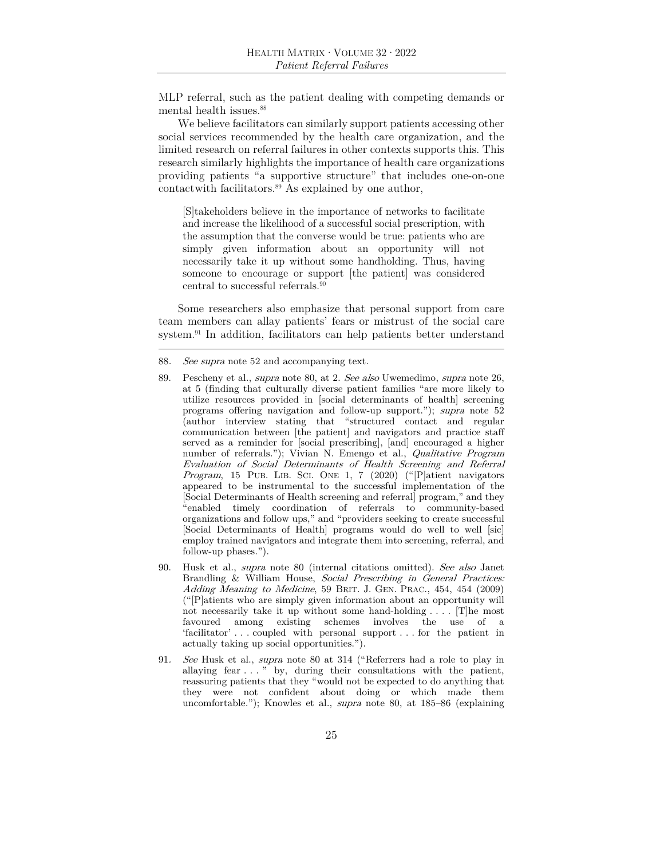MLP referral, such as the patient dealing with competing demands or mental health issues.<sup>88</sup>

We believe facilitators can similarly support patients accessing other social services recommended by the health care organization, and the limited research on referral failures in other contexts supports this. This research similarly highlights the importance of health care organizations providing patients "a supportive structure" that includes one-on-one contact with facilitators.<sup>89</sup> As explained by one author,

[S]takeholders believe in the importance of networks to facilitate and increase the likelihood of a successful social prescription, with the assumption that the converse would be true: patients who are simply given information about an opportunity will not necessarily take it up without some handholding. Thus, having someone to encourage or support [the patient] was considered central to successful referrals.<sup>90</sup>

Some researchers also emphasize that personal support from care team members can allay patients' fears or mistrust of the social care system.<sup>91</sup> In addition, facilitators can help patients better understand

- 90. Husk et al., supra note 80 (internal citations omitted). See also Janet Brandling & William House, Social Prescribing in General Practices: Adding Meaning to Medicine, 59 BRIT. J. GEN. PRAC., 454, 454 (2009) ("[P]atients who are simply given information about an opportunity will not necessarily take it up without some hand-holding . . . . [T]he most favoured among existing schemes involves the use of a 'facilitator' . . . coupled with personal support . . . for the patient in actually taking up social opportunities.").
- 91. See Husk et al., supra note 80 at 314 ("Referrers had a role to play in allaying fear . . . " by, during their consultations with the patient, reassuring patients that they "would not be expected to do anything that they were not confident about doing or which made them uncomfortable."); Knowles et al., supra note 80, at 185–86 (explaining

<sup>88</sup>. See supra note 52 and accompanying text.

<sup>89.</sup> Pescheny et al., supra note 80, at 2. See also Uwemedimo, supra note 26, at 5 (finding that culturally diverse patient families "are more likely to utilize resources provided in [social determinants of health] screening programs offering navigation and follow-up support."); supra note 52 (author interview stating that "structured contact and regular communication between [the patient] and navigators and practice staff served as a reminder for [social prescribing], [and] encouraged a higher number of referrals."); Vivian N. Emengo et al., Qualitative Program Evaluation of Social Determinants of Health Screening and Referral Program, 15 PUB. LIB. SCI. ONE 1, 7 (2020) ("[P]atient navigators appeared to be instrumental to the successful implementation of the [Social Determinants of Health screening and referral] program," and they "enabled timely coordination of referrals to community-based organizations and follow ups," and "providers seeking to create successful [Social Determinants of Health] programs would do well to well [sic] employ trained navigators and integrate them into screening, referral, and follow-up phases.").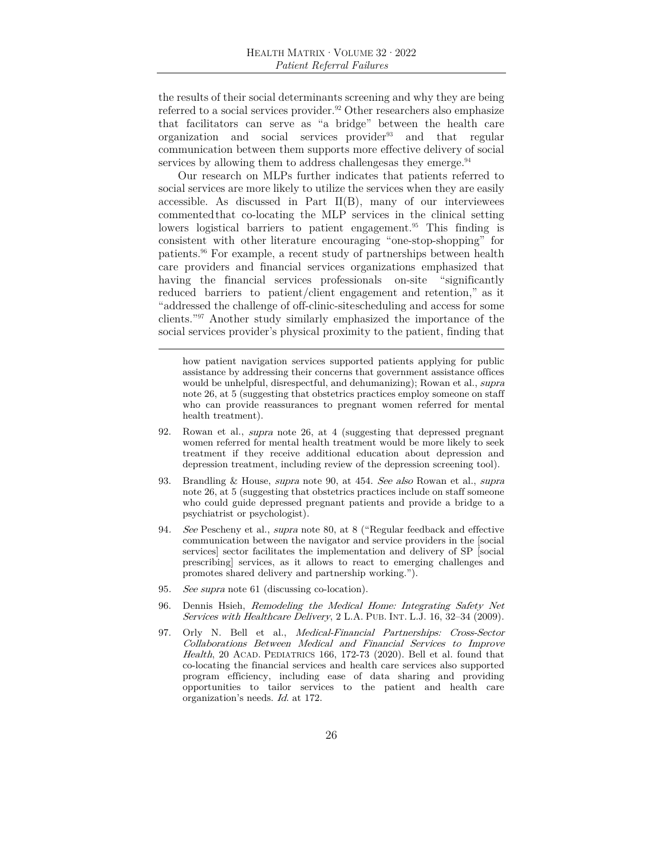the results of their social determinants screening and why they are being referred to a social services provider.<sup>92</sup> Other researchers also emphasize that facilitators can serve as "a bridge" between the health care organization and social services provider93 and that regular communication between them supports more effective delivery of social services by allowing them to address challenges as they emerge.  $94$ 

Our research on MLPs further indicates that patients referred to social services are more likely to utilize the services when they are easily accessible. As discussed in Part  $II(B)$ , many of our interviewees commented that co-locating the MLP services in the clinical setting lowers logistical barriers to patient engagement.<sup>95</sup> This finding is consistent with other literature encouraging "one-stop-shopping" for patients.96 For example, a recent study of partnerships between health care providers and financial services organizations emphasized that having the financial services professionals on-site "significantly reduced barriers to patient/client engagement and retention," as it "addressed the challenge of off-clinic-site scheduling and access for some clients."97 Another study similarly emphasized the importance of the social services provider's physical proximity to the patient, finding that

how patient navigation services supported patients applying for public assistance by addressing their concerns that government assistance offices would be unhelpful, disrespectful, and dehumanizing); Rowan et al., *supra* note 26, at 5 (suggesting that obstetrics practices employ someone on staff who can provide reassurances to pregnant women referred for mental health treatment).

- 92. Rowan et al., supra note 26, at 4 (suggesting that depressed pregnant women referred for mental health treatment would be more likely to seek treatment if they receive additional education about depression and depression treatment, including review of the depression screening tool).
- 93. Brandling & House, supra note 90, at 454. See also Rowan et al., supra note 26, at 5 (suggesting that obstetrics practices include on staff someone who could guide depressed pregnant patients and provide a bridge to a psychiatrist or psychologist).
- 94. See Pescheny et al., supra note 80, at 8 ("Regular feedback and effective communication between the navigator and service providers in the [social services] sector facilitates the implementation and delivery of SP [social prescribing] services, as it allows to react to emerging challenges and promotes shared delivery and partnership working.").
- 95. See supra note 61 (discussing co-location).
- 96. Dennis Hsieh, Remodeling the Medical Home: Integrating Safety Net Services with Healthcare Delivery, 2 L.A. PUB. INT. L.J. 16, 32–34 (2009).
- 97. Orly N. Bell et al., Medical-Financial Partnerships: Cross-Sector Collaborations Between Medical and Financial Services to Improve Health, 20 ACAD. PEDIATRICS 166, 172-73 (2020). Bell et al. found that co-locating the financial services and health care services also supported program efficiency, including ease of data sharing and providing opportunities to tailor services to the patient and health care organization's needs. Id. at 172.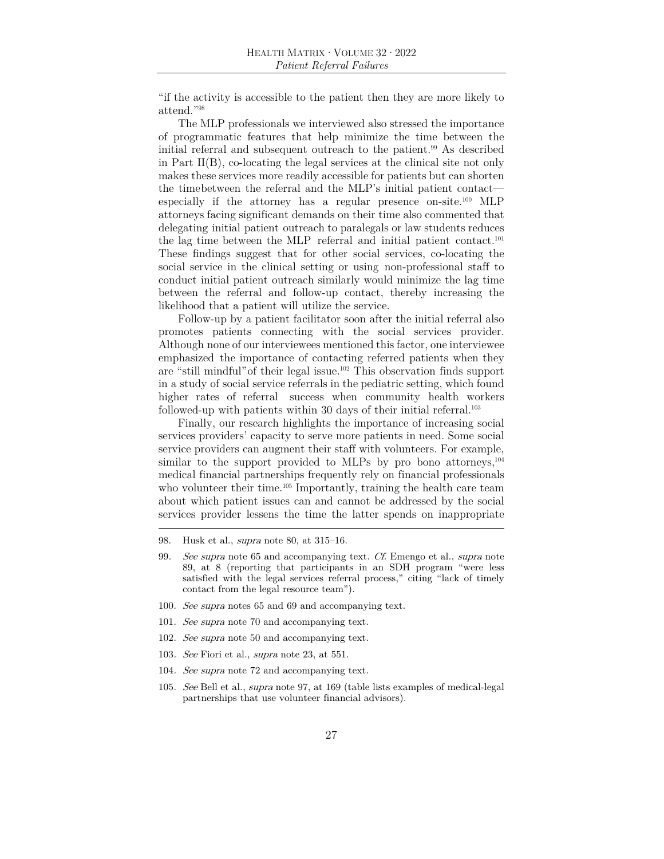"if the activity is accessible to the patient then they are more likely to attend."98

The MLP professionals we interviewed also stressed the importance of programmatic features that help minimize the time between the initial referral and subsequent outreach to the patient.<sup>99</sup> As described in Part II(B), co-locating the legal services at the clinical site not only makes these services more readily accessible for patients but can shorten the time between the referral and the MLP's initial patient contact especially if the attorney has a regular presence on-site.100 MLP attorneys facing significant demands on their time also commented that delegating initial patient outreach to paralegals or law students reduces the lag time between the MLP referral and initial patient contact.101 These findings suggest that for other social services, co-locating the social service in the clinical setting or using non-professional staff to conduct initial patient outreach similarly would minimize the lag time between the referral and follow-up contact, thereby increasing the likelihood that a patient will utilize the service.

Follow-up by a patient facilitator soon after the initial referral also promotes patients connecting with the social services provider. Although none of our interviewees mentioned this factor, one interviewee emphasized the importance of contacting referred patients when they are "still mindful" of their legal issue.102 This observation finds support in a study of social service referrals in the pediatric setting, which found higher rates of referral success when community health workers followed-up with patients within 30 days of their initial referral.<sup>103</sup>

Finally, our research highlights the importance of increasing social services providers' capacity to serve more patients in need. Some social service providers can augment their staff with volunteers. For example, similar to the support provided to MLPs by pro bono attorneys,  $^{104}$ medical financial partnerships frequently rely on financial professionals who volunteer their time.<sup>105</sup> Importantly, training the health care team about which patient issues can and cannot be addressed by the social services provider lessens the time the latter spends on inappropriate

- 100. See supra notes 65 and 69 and accompanying text.
- 101. See supra note 70 and accompanying text.
- 102. See supra note 50 and accompanying text.
- 103. See Fiori et al., supra note 23, at 551.
- 104. See supra note 72 and accompanying text.
- 105. See Bell et al., supra note 97, at 169 (table lists examples of medical-legal partnerships that use volunteer financial advisors).

<sup>98.</sup> Husk et al., supra note 80, at 315–16.

<sup>99.</sup> See supra note 65 and accompanying text. Cf. Emengo et al., supra note 89, at 8 (reporting that participants in an SDH program "were less satisfied with the legal services referral process," citing "lack of timely contact from the legal resource team").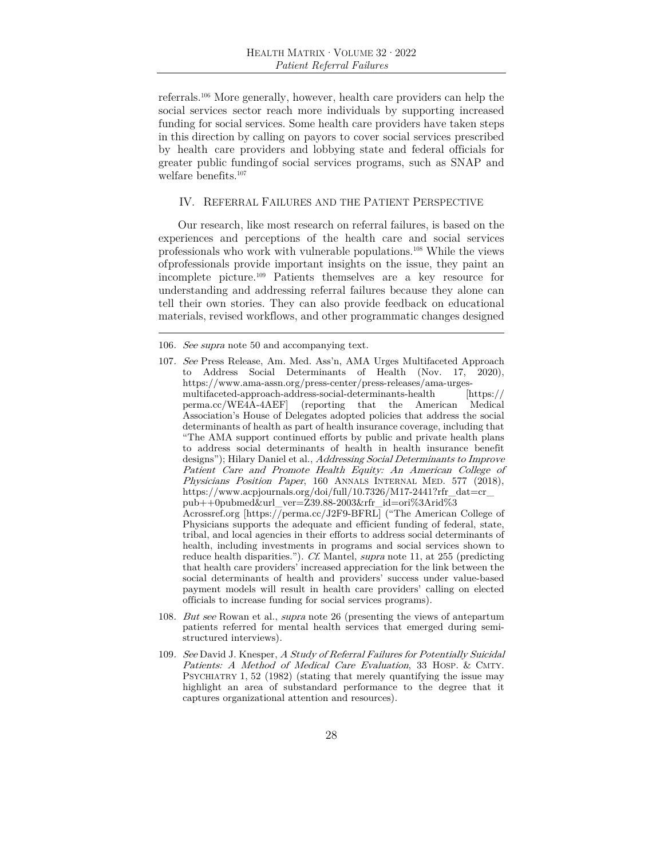referrals.106 More generally, however, health care providers can help the social services sector reach more individuals by supporting increased funding for social services. Some health care providers have taken steps in this direction by calling on payors to cover social services prescribed by health care providers and lobbying state and federal officials for greater public funding of social services programs, such as SNAP and welfare benefits.107

### IV. REFERRAL FAILURES AND THE PATIENT PERSPECTIVE

Our research, like most research on referral failures, is based on the experiences and perceptions of the health care and social services professionals who work with vulnerable populations.108 While the views of professionals provide important insights on the issue, they paint an incomplete picture.109 Patients themselves are a key resource for understanding and addressing referral failures because they alone can tell their own stories. They can also provide feedback on educational materials, revised workflows, and other programmatic changes designed

- 108. But see Rowan et al., supra note 26 (presenting the views of antepartum patients referred for mental health services that emerged during semistructured interviews).
- 109. See David J. Knesper, A Study of Referral Failures for Potentially Suicidal Patients: A Method of Medical Care Evaluation, 33 HOSP. & CMTY. PSYCHIATRY 1, 52 (1982) (stating that merely quantifying the issue may highlight an area of substandard performance to the degree that it captures organizational attention and resources).

<sup>106</sup>. See supra note 50 and accompanying text.

<sup>107</sup>. See Press Release, Am. Med. Ass'n, AMA Urges Multifaceted Approach to Address Social Determinants of Health (Nov. 17, 2020), https://www.ama-assn.org/press-center/press-releases/ama-urgesmultifaceted-approach-address-social-determinants-health [https:// perma.cc/WE4A-4AEF] (reporting that the American Medical Association's House of Delegates adopted policies that address the social determinants of health as part of health insurance coverage, including that "The AMA support continued efforts by public and private health plans to address social determinants of health in health insurance benefit designs"); Hilary Daniel et al., Addressing Social Determinants to Improve Patient Care and Promote Health Equity: An American College of Physicians Position Paper, 160 ANNALS INTERNAL MED. 577 (2018), https://www.acpjournals.org/doi/full/10.7326/M17-2441?rfr\_dat=cr\_ pub++0pubmed&url\_ver=Z39.88-2003&rfr\_id=ori%3Arid%3 Acrossref.org [https://perma.cc/J2F9-BFRL] ("The American College of Physicians supports the adequate and efficient funding of federal, state, tribal, and local agencies in their efforts to address social determinants of health, including investments in programs and social services shown to reduce health disparities."). Cf. Mantel, supra note 11, at 255 (predicting that health care providers' increased appreciation for the link between the social determinants of health and providers' success under value-based payment models will result in health care providers' calling on elected officials to increase funding for social services programs).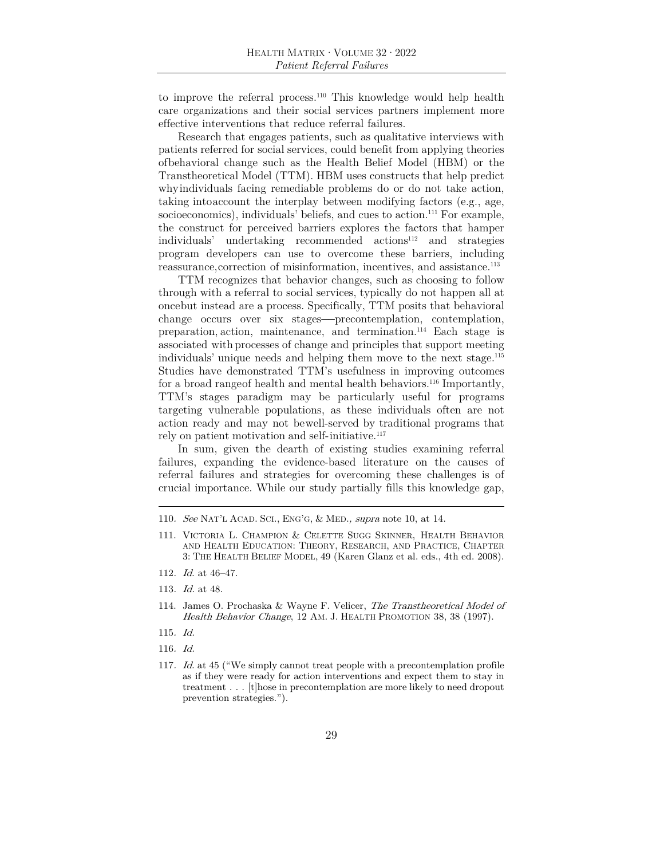to improve the referral process.110 This knowledge would help health care organizations and their social services partners implement more effective interventions that reduce referral failures.

Research that engages patients, such as qualitative interviews with patients referred for social services, could benefit from applying theories of behavioral change such as the Health Belief Model (HBM) or the Transtheoretical Model (TTM). HBM uses constructs that help predict why individuals facing remediable problems do or do not take action, taking into account the interplay between modifying factors (e.g., age, socioeconomics), individuals' beliefs, and cues to action.<sup>111</sup> For example, the construct for perceived barriers explores the factors that hamper individuals' undertaking recommended actions<sup>112</sup> and strategies program developers can use to overcome these barriers, including reassurance, correction of misinformation, incentives, and assistance.<sup>113</sup>

TTM recognizes that behavior changes, such as choosing to follow through with a referral to social services, typically do not happen all at once but instead are a process. Specifically, TTM posits that behavioral change occurs over six stages—precontemplation, contemplation, preparation, action, maintenance, and termination.114 Each stage is associated with processes of change and principles that support meeting individuals' unique needs and helping them move to the next stage.115 Studies have demonstrated TTM's usefulness in improving outcomes for a broad range of health and mental health behaviors.<sup>116</sup> Importantly, TTM's stages paradigm may be particularly useful for programs targeting vulnerable populations, as these individuals often are not action ready and may not be well-served by traditional programs that rely on patient motivation and self-initiative.<sup>117</sup>

In sum, given the dearth of existing studies examining referral failures, expanding the evidence-based literature on the causes of referral failures and strategies for overcoming these challenges is of crucial importance. While our study partially fills this knowledge gap,

- 115. Id.
- 116. Id.
- 117. Id. at 45 ("We simply cannot treat people with a precontemplation profile as if they were ready for action interventions and expect them to stay in treatment . . . [t]hose in precontemplation are more likely to need dropout prevention strategies.").

<sup>110</sup>. See NAT'L ACAD. SCI., ENG'G, & MED., supra note 10, at 14.

<sup>111.</sup> VICTORIA L. CHAMPION & CELETTE SUGG SKINNER, HEALTH BEHAVIOR AND HEALTH EDUCATION: THEORY, RESEARCH, AND PRACTICE, CHAPTER 3: THE HEALTH BELIEF MODEL, 49 (Karen Glanz et al. eds., 4th ed. 2008).

<sup>112</sup>. Id. at 46–47.

<sup>113</sup>. Id. at 48.

<sup>114.</sup> James O. Prochaska & Wayne F. Velicer, The Transtheoretical Model of Health Behavior Change, 12 AM. J. HEALTH PROMOTION 38, 38 (1997).